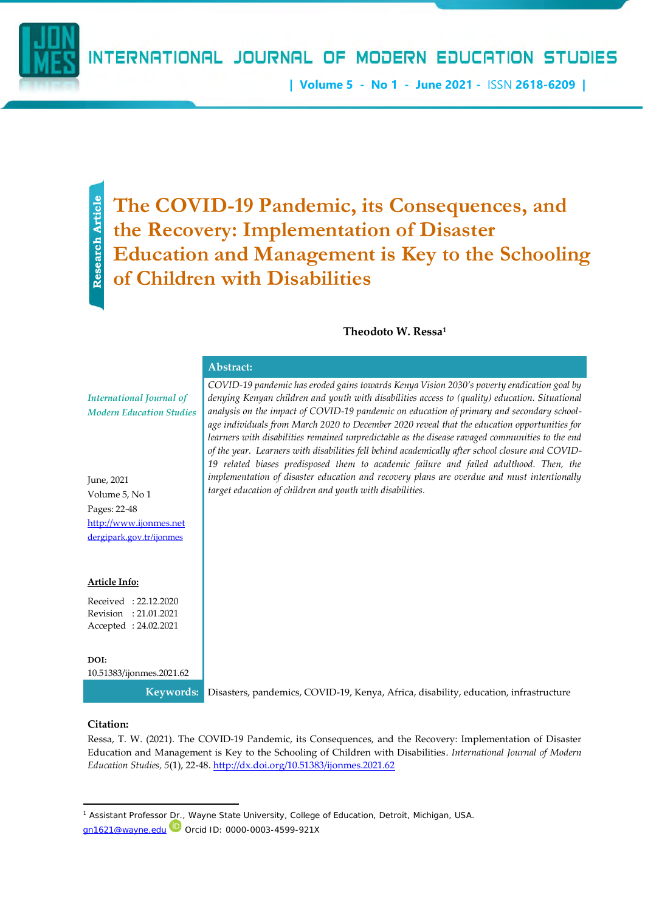**| Volume 5 - No 1 - June 2021 -** ISSN **2618-6209 |**

Research Article **Research Article**

# **The COVID-19 Pandemic, its Consequences, and the Recovery: Implementation of Disaster Education and Management is Key to the Schooling of Children with Disabilities**

## **Theodoto W. Ressa<sup>1</sup>**

|                                                                    | Abstract:                                                                                                                                                                                                                                                                                                                                                                                                                                                                                                                                                                                                                                                                                  |
|--------------------------------------------------------------------|--------------------------------------------------------------------------------------------------------------------------------------------------------------------------------------------------------------------------------------------------------------------------------------------------------------------------------------------------------------------------------------------------------------------------------------------------------------------------------------------------------------------------------------------------------------------------------------------------------------------------------------------------------------------------------------------|
| <b>International Journal of</b><br><b>Modern Education Studies</b> | COVID-19 pandemic has eroded gains towards Kenya Vision 2030's poverty eradication goal by<br>denying Kenyan children and youth with disabilities access to (quality) education. Situational<br>analysis on the impact of COVID-19 pandemic on education of primary and secondary school-<br>age individuals from March 2020 to December 2020 reveal that the education opportunities for<br>learners with disabilities remained unpredictable as the disease ravaged communities to the end<br>of the year. Learners with disabilities fell behind academically after school closure and COVID-<br>19 related biases predisposed them to academic failure and failed adulthood. Then, the |
| June, 2021                                                         | implementation of disaster education and recovery plans are overdue and must intentionally                                                                                                                                                                                                                                                                                                                                                                                                                                                                                                                                                                                                 |
| Volume 5, No 1                                                     | target education of children and youth with disabilities.                                                                                                                                                                                                                                                                                                                                                                                                                                                                                                                                                                                                                                  |
| Pages: 22-48                                                       |                                                                                                                                                                                                                                                                                                                                                                                                                                                                                                                                                                                                                                                                                            |
| http://www.ijonmes.net                                             |                                                                                                                                                                                                                                                                                                                                                                                                                                                                                                                                                                                                                                                                                            |
| dergipark.gov.tr/ijonmes                                           |                                                                                                                                                                                                                                                                                                                                                                                                                                                                                                                                                                                                                                                                                            |
| Article Info:                                                      |                                                                                                                                                                                                                                                                                                                                                                                                                                                                                                                                                                                                                                                                                            |
| Received: 22.12.2020                                               |                                                                                                                                                                                                                                                                                                                                                                                                                                                                                                                                                                                                                                                                                            |
| Revision : 21.01.2021                                              |                                                                                                                                                                                                                                                                                                                                                                                                                                                                                                                                                                                                                                                                                            |
| Accepted: 24.02.2021                                               |                                                                                                                                                                                                                                                                                                                                                                                                                                                                                                                                                                                                                                                                                            |
| DOI:                                                               |                                                                                                                                                                                                                                                                                                                                                                                                                                                                                                                                                                                                                                                                                            |
| 10.51383/ijonmes.2021.62                                           |                                                                                                                                                                                                                                                                                                                                                                                                                                                                                                                                                                                                                                                                                            |

**Keywords:** Disasters, pandemics, COVID-19, Kenya, Africa, disability, education, infrastructure

#### **Citation:**

Ressa, T. W. (2021). The COVID-19 Pandemic, its Consequences, and the Recovery: Implementation of Disaster Education and Management is Key to the Schooling of Children with Disabilities. *International Journal of Modern Education Studies, 5*(1), 22-48. <http://dx.doi.org/10.51383/ijonmes.2021.62>

<sup>&</sup>lt;sup>1</sup> Assistant Professor Dr., Wayne State University, College of Education, Detroit, Michigan, USA. [gn1621@wayne.edu](mailto:gn1621@wayne.edu) Orcid ID: [0000-0003-4599-921X](https://nam12.safelinks.protection.outlook.com/?url=https%3A%2F%2Forcid.org%2F0000-0003-4599-921X%3Flang%3Den&data=02%7C01%7C%7C576d2a35757e407b19fa08d7be26a487%7C84df9e7fe9f640afb435aaaaaaaaaaaa%7C1%7C0%7C637186945478199462&sdata=s%2F777bqlISkGjXAxECPJEiurmjZIyaIdoGX3i4p7o%2FI%3D&reserved=0)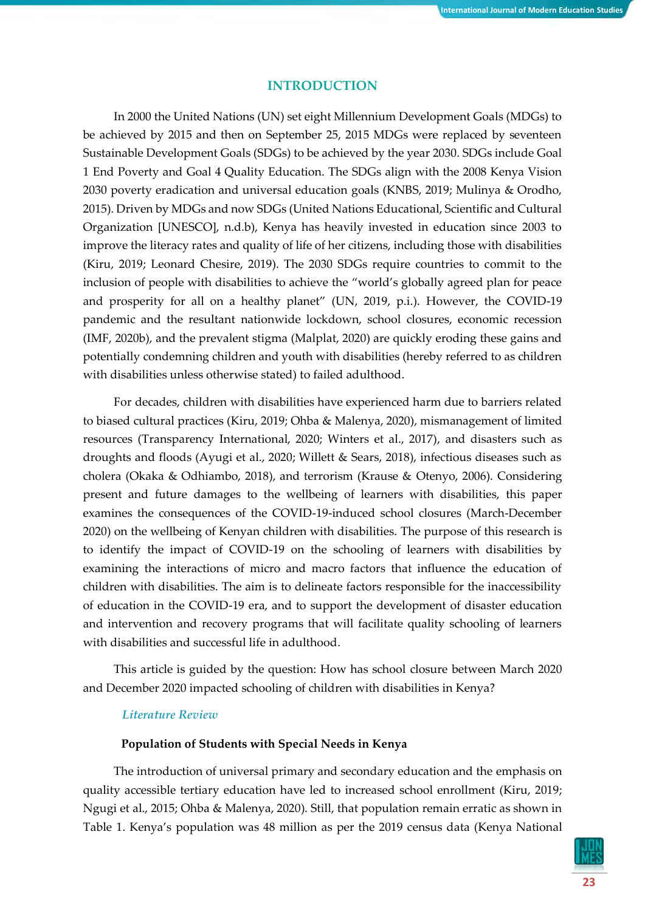## **INTRODUCTION**

In 2000 the United Nations (UN) set eight Millennium Development Goals (MDGs) to be achieved by 2015 and then on September 25, 2015 MDGs were replaced by seventeen Sustainable Development Goals (SDGs) to be achieved by the year 2030. SDGs include Goal 1 End Poverty and Goal 4 Quality Education. The SDGs align with the 2008 Kenya Vision 2030 poverty eradication and universal education goals (KNBS, 2019; Mulinya & Orodho, 2015). Driven by MDGs and now SDGs (United Nations Educational, Scientific and Cultural Organization [UNESCO], n.d.b), Kenya has heavily invested in education since 2003 to improve the literacy rates and quality of life of her citizens, including those with disabilities (Kiru, 2019; Leonard Chesire, 2019). The 2030 SDGs require countries to commit to the inclusion of people with disabilities to achieve the "world's globally agreed plan for peace and prosperity for all on a healthy planet" (UN, 2019, p.i.). However, the COVID-19 pandemic and the resultant nationwide lockdown, school closures, economic recession (IMF, 2020b), and the prevalent stigma (Malplat, 2020) are quickly eroding these gains and potentially condemning children and youth with disabilities (hereby referred to as children with disabilities unless otherwise stated) to failed adulthood.

For decades, children with disabilities have experienced harm due to barriers related to biased cultural practices (Kiru, 2019; Ohba & Malenya, 2020), mismanagement of limited resources (Transparency International, 2020; Winters et al., 2017), and disasters such as droughts and floods (Ayugi et al., 2020; Willett & Sears, 2018), infectious diseases such as cholera (Okaka & Odhiambo, 2018), and terrorism (Krause & Otenyo, 2006). Considering present and future damages to the wellbeing of learners with disabilities, this paper examines the consequences of the COVID-19-induced school closures (March-December 2020) on the wellbeing of Kenyan children with disabilities. The purpose of this research is to identify the impact of COVID-19 on the schooling of learners with disabilities by examining the interactions of micro and macro factors that influence the education of children with disabilities. The aim is to delineate factors responsible for the inaccessibility of education in the COVID-19 era, and to support the development of disaster education and intervention and recovery programs that will facilitate quality schooling of learners with disabilities and successful life in adulthood.

This article is guided by the question: How has school closure between March 2020 and December 2020 impacted schooling of children with disabilities in Kenya?

### *Literature Review*

## **Population of Students with Special Needs in Kenya**

The introduction of universal primary and secondary education and the emphasis on quality accessible tertiary education have led to increased school enrollment (Kiru, 2019; Ngugi et al., 2015; Ohba & Malenya, 2020). Still, that population remain erratic as shown in Table 1. Kenya's population was 48 million as per the 2019 census data (Kenya National

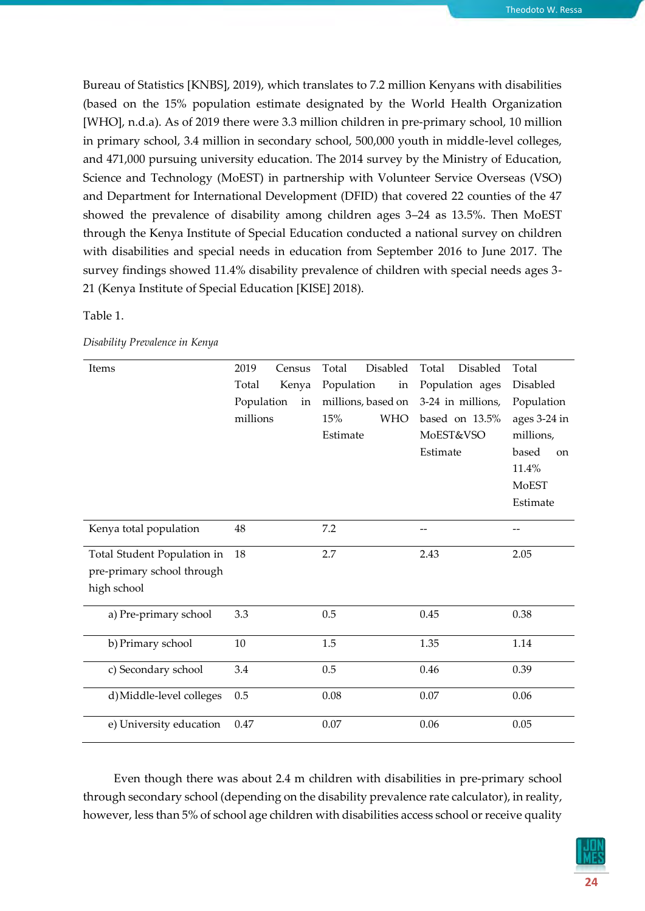Bureau of Statistics [KNBS], 2019), which translates to 7.2 million Kenyans with disabilities (based on the 15% population estimate designated by the World Health Organization [WHO], n.d.a). As of 2019 there were 3.3 million children in pre-primary school, 10 million in primary school, 3.4 million in secondary school, 500,000 youth in middle-level colleges, and 471,000 pursuing university education. The 2014 survey by the Ministry of Education, Science and Technology (MoEST) in partnership with Volunteer Service Overseas (VSO) and Department for International Development (DFID) that covered 22 counties of the 47 showed the prevalence of disability among children ages 3–24 as 13.5%. Then MoEST through the Kenya Institute of Special Education conducted a national survey on children with disabilities and special needs in education from September 2016 to June 2017. The survey findings showed 11.4% disability prevalence of children with special needs ages 3- 21 (Kenya Institute of Special Education [KISE] 2018).

#### Table 1.

| Disability Prevalence in Kenya |  |  |
|--------------------------------|--|--|
|                                |  |  |

| Items                       | 2019<br>Census   | <b>Disabled</b><br>Total | Disabled<br>Total | Total                  |
|-----------------------------|------------------|--------------------------|-------------------|------------------------|
|                             | Total<br>Kenya   | Population<br>in         | Population ages   | Disabled               |
|                             | Population<br>in | millions, based on       | 3-24 in millions, | Population             |
|                             | millions         | <b>WHO</b><br>15%        | based on 13.5%    | ages 3-24 in           |
|                             |                  | Estimate                 | MoEST&VSO         | millions,              |
|                             |                  |                          | Estimate          | based<br><sub>on</sub> |
|                             |                  |                          |                   | 11.4%                  |
|                             |                  |                          |                   | <b>MoEST</b>           |
|                             |                  |                          |                   | Estimate               |
| Kenya total population      | 48               | 7.2                      |                   |                        |
|                             |                  |                          |                   |                        |
| Total Student Population in | 18               | 2.7                      | 2.43              | 2.05                   |
| pre-primary school through  |                  |                          |                   |                        |
| high school                 |                  |                          |                   |                        |
| a) Pre-primary school       | 3.3              | 0.5                      | 0.45              | 0.38                   |
|                             |                  |                          |                   |                        |
| b) Primary school           | 10               | 1.5                      | 1.35              | 1.14                   |
| c) Secondary school         | 3.4              | 0.5                      | 0.46              | 0.39                   |
|                             | 0.5              | 0.08                     | 0.07              | 0.06                   |
| d) Middle-level colleges    |                  |                          |                   |                        |
| e) University education     | 0.47             | $0.07\,$                 | 0.06              | 0.05                   |
|                             |                  |                          |                   |                        |

Even though there was about 2.4 m children with disabilities in pre-primary school through secondary school (depending on the disability prevalence rate calculator), in reality, however, less than 5% of school age children with disabilities access school or receive quality

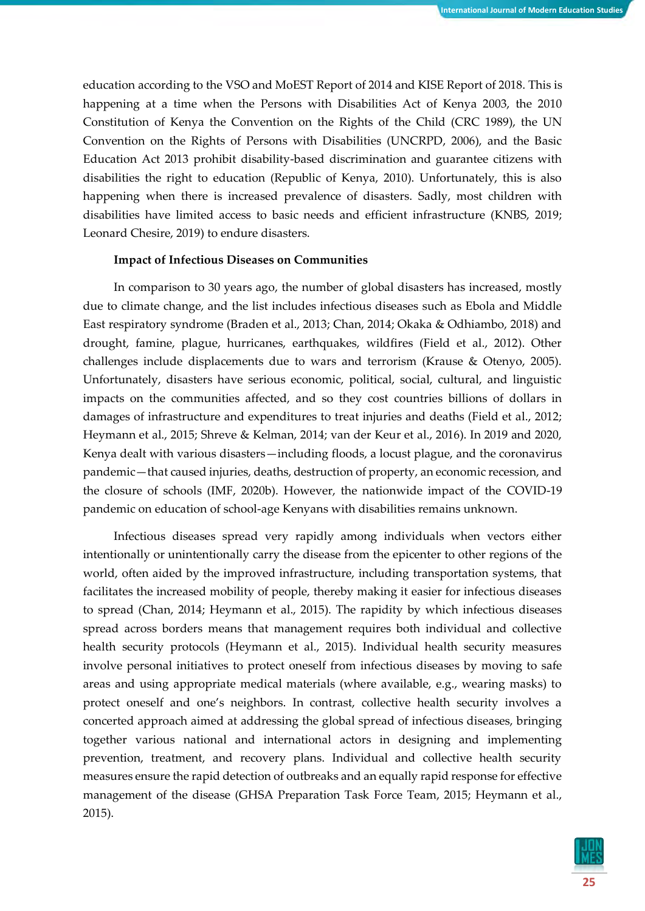education according to the VSO and MoEST Report of 2014 and KISE Report of 2018. This is happening at a time when the Persons with Disabilities Act of Kenya 2003, the 2010 Constitution of Kenya the Convention on the Rights of the Child (CRC 1989), the UN Convention on the Rights of Persons with Disabilities (UNCRPD, 2006), and the Basic Education Act 2013 prohibit disability-based discrimination and guarantee citizens with disabilities the right to education (Republic of Kenya, 2010). Unfortunately, this is also happening when there is increased prevalence of disasters. Sadly, most children with disabilities have limited access to basic needs and efficient infrastructure (KNBS, 2019; Leonard Chesire, 2019) to endure disasters.

#### **Impact of Infectious Diseases on Communities**

In comparison to 30 years ago, the number of global disasters has increased, mostly due to climate change, and the list includes infectious diseases such as Ebola and Middle East respiratory syndrome (Braden et al., 2013; Chan, 2014; Okaka & Odhiambo, 2018) and drought, famine, plague, hurricanes, earthquakes, wildfires (Field et al., 2012). Other challenges include displacements due to wars and terrorism (Krause & Otenyo, 2005). Unfortunately, disasters have serious economic, political, social, cultural, and linguistic impacts on the communities affected, and so they cost countries billions of dollars in damages of infrastructure and expenditures to treat injuries and deaths (Field et al., 2012; Heymann et al., 2015; Shreve & Kelman, 2014; van der Keur et al., 2016). In 2019 and 2020, Kenya dealt with various disasters—including floods, a locust plague, and the coronavirus pandemic—that caused injuries, deaths, destruction of property, an economic recession, and the closure of schools (IMF, 2020b). However, the nationwide impact of the COVID-19 pandemic on education of school-age Kenyans with disabilities remains unknown.

Infectious diseases spread very rapidly among individuals when vectors either intentionally or unintentionally carry the disease from the epicenter to other regions of the world, often aided by the improved infrastructure, including transportation systems, that facilitates the increased mobility of people, thereby making it easier for infectious diseases to spread (Chan, 2014; Heymann et al., 2015). The rapidity by which infectious diseases spread across borders means that management requires both individual and collective health security protocols (Heymann et al., 2015). Individual health security measures involve personal initiatives to protect oneself from infectious diseases by moving to safe areas and using appropriate medical materials (where available, e.g., wearing masks) to protect oneself and one's neighbors. In contrast, collective health security involves a concerted approach aimed at addressing the global spread of infectious diseases, bringing together various national and international actors in designing and implementing prevention, treatment, and recovery plans. Individual and collective health security measures ensure the rapid detection of outbreaks and an equally rapid response for effective management of the disease (GHSA Preparation Task Force Team, 2015; Heymann et al., 2015).

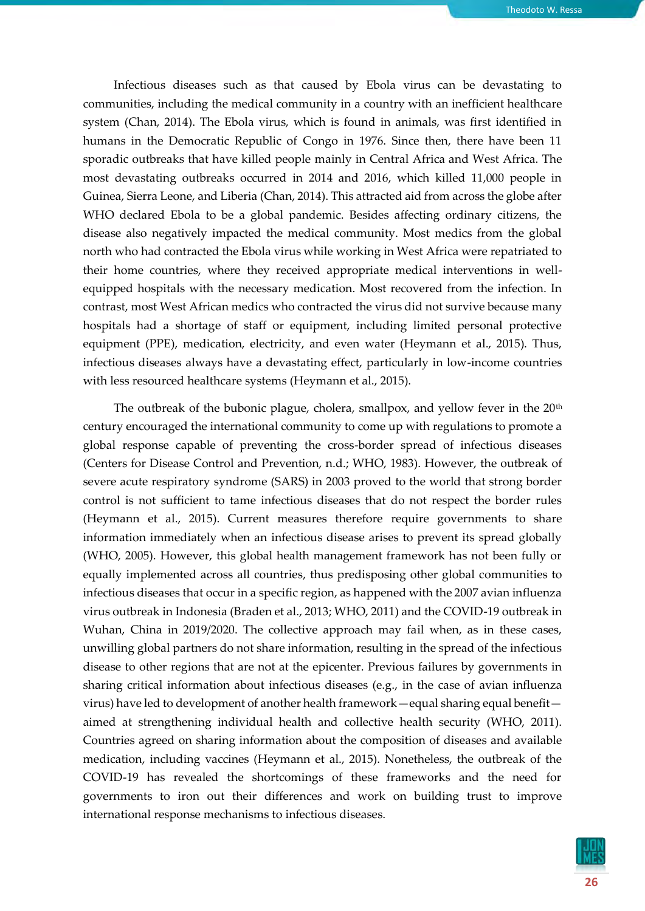Infectious diseases such as that caused by Ebola virus can be devastating to communities, including the medical community in a country with an inefficient healthcare system (Chan, 2014). The Ebola virus, which is found in animals, was first identified in humans in the Democratic Republic of Congo in 1976. Since then, there have been 11 sporadic outbreaks that have killed people mainly in Central Africa and West Africa. The most devastating outbreaks occurred in 2014 and 2016, which killed 11,000 people in Guinea, Sierra Leone, and Liberia (Chan, 2014). This attracted aid from across the globe after WHO declared Ebola to be a global pandemic. Besides affecting ordinary citizens, the disease also negatively impacted the medical community. Most medics from the global north who had contracted the Ebola virus while working in West Africa were repatriated to their home countries, where they received appropriate medical interventions in wellequipped hospitals with the necessary medication. Most recovered from the infection. In contrast, most West African medics who contracted the virus did not survive because many hospitals had a shortage of staff or equipment, including limited personal protective equipment (PPE), medication, electricity, and even water (Heymann et al., 2015). Thus, infectious diseases always have a devastating effect, particularly in low-income countries with less resourced healthcare systems (Heymann et al., 2015).

The outbreak of the bubonic plague, cholera, smallpox, and yellow fever in the  $20<sup>th</sup>$ century encouraged the international community to come up with regulations to promote a global response capable of preventing the cross-border spread of infectious diseases (Centers for Disease Control and Prevention, n.d.; WHO, 1983). However, the outbreak of severe acute respiratory syndrome (SARS) in 2003 proved to the world that strong border control is not sufficient to tame infectious diseases that do not respect the border rules (Heymann et al., 2015). Current measures therefore require governments to share information immediately when an infectious disease arises to prevent its spread globally (WHO, 2005). However, this global health management framework has not been fully or equally implemented across all countries, thus predisposing other global communities to infectious diseases that occur in a specific region, as happened with the 2007 avian influenza virus outbreak in Indonesia (Braden et al., 2013; WHO, 2011) and the COVID-19 outbreak in Wuhan, China in 2019/2020. The collective approach may fail when, as in these cases, unwilling global partners do not share information, resulting in the spread of the infectious disease to other regions that are not at the epicenter. Previous failures by governments in sharing critical information about infectious diseases (e.g., in the case of avian influenza virus) have led to development of another health framework—equal sharing equal benefit aimed at strengthening individual health and collective health security (WHO, 2011). Countries agreed on sharing information about the composition of diseases and available medication, including vaccines (Heymann et al., 2015). Nonetheless, the outbreak of the COVID-19 has revealed the shortcomings of these frameworks and the need for governments to iron out their differences and work on building trust to improve international response mechanisms to infectious diseases.

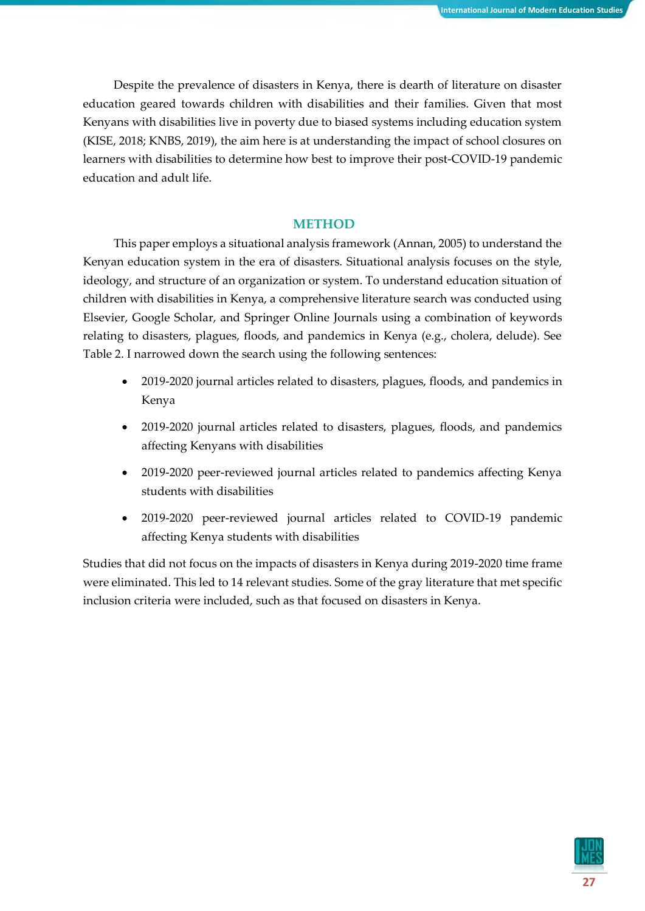Despite the prevalence of disasters in Kenya, there is dearth of literature on disaster education geared towards children with disabilities and their families. Given that most Kenyans with disabilities live in poverty due to biased systems including education system (KISE, 2018; KNBS, 2019), the aim here is at understanding the impact of school closures on learners with disabilities to determine how best to improve their post-COVID-19 pandemic education and adult life.

## **METHOD**

This paper employs a situational analysis framework (Annan, 2005) to understand the Kenyan education system in the era of disasters. Situational analysis focuses on the style, ideology, and structure of an organization or system. To understand education situation of children with disabilities in Kenya, a comprehensive literature search was conducted using Elsevier, Google Scholar, and Springer Online Journals using a combination of keywords relating to disasters, plagues, floods, and pandemics in Kenya (e.g., cholera, delude). See Table 2. I narrowed down the search using the following sentences:

- 2019-2020 journal articles related to disasters, plagues, floods, and pandemics in Kenya
- 2019-2020 journal articles related to disasters, plagues, floods, and pandemics affecting Kenyans with disabilities
- 2019-2020 peer-reviewed journal articles related to pandemics affecting Kenya students with disabilities
- 2019-2020 peer-reviewed journal articles related to COVID-19 pandemic affecting Kenya students with disabilities

Studies that did not focus on the impacts of disasters in Kenya during 2019-2020 time frame were eliminated. This led to 14 relevant studies. Some of the gray literature that met specific inclusion criteria were included, such as that focused on disasters in Kenya.

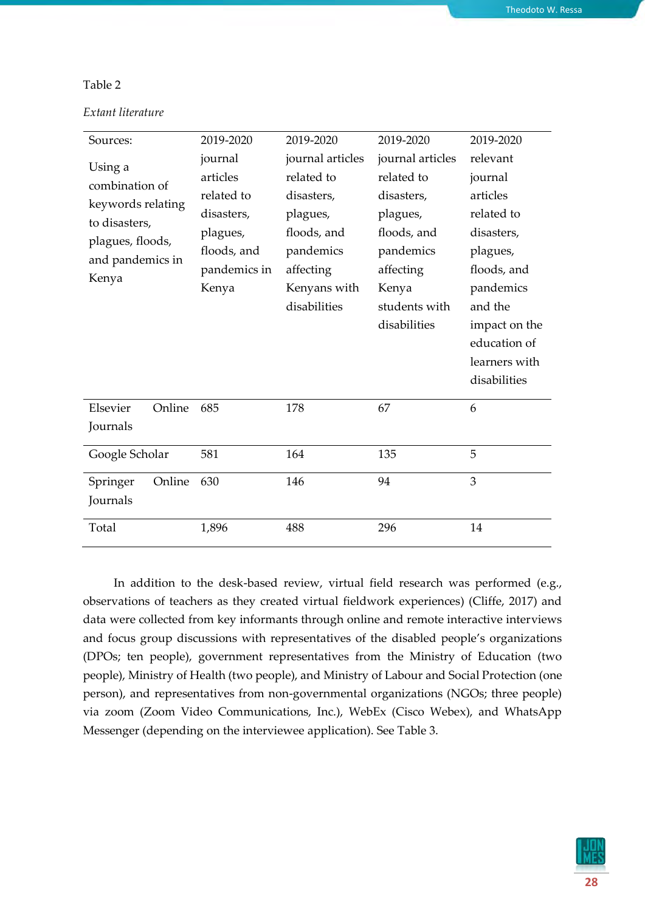#### Table 2

| Sources:                                                                                                         | 2019-2020                                                                                           | 2019-2020                                                                                                                         | 2019-2020                                                                                                                                   | 2019-2020                                                                                                                                                                        |
|------------------------------------------------------------------------------------------------------------------|-----------------------------------------------------------------------------------------------------|-----------------------------------------------------------------------------------------------------------------------------------|---------------------------------------------------------------------------------------------------------------------------------------------|----------------------------------------------------------------------------------------------------------------------------------------------------------------------------------|
| Using a<br>combination of<br>keywords relating<br>to disasters,<br>plagues, floods,<br>and pandemics in<br>Kenya | journal<br>articles<br>related to<br>disasters,<br>plagues,<br>floods, and<br>pandemics in<br>Kenya | journal articles<br>related to<br>disasters,<br>plagues,<br>floods, and<br>pandemics<br>affecting<br>Kenyans with<br>disabilities | journal articles<br>related to<br>disasters,<br>plagues,<br>floods, and<br>pandemics<br>affecting<br>Kenya<br>students with<br>disabilities | relevant<br>journal<br>articles<br>related to<br>disasters,<br>plagues,<br>floods, and<br>pandemics<br>and the<br>impact on the<br>education of<br>learners with<br>disabilities |
| Elsevier<br>Online<br>Journals                                                                                   | 685                                                                                                 | 178                                                                                                                               | 67                                                                                                                                          | 6                                                                                                                                                                                |
| Google Scholar                                                                                                   | 581                                                                                                 | 164                                                                                                                               | 135                                                                                                                                         | 5                                                                                                                                                                                |
| Online<br>Springer<br>Journals                                                                                   | 630                                                                                                 | 146                                                                                                                               | 94                                                                                                                                          | 3                                                                                                                                                                                |
| Total                                                                                                            | 1,896                                                                                               | 488                                                                                                                               | 296                                                                                                                                         | 14                                                                                                                                                                               |

In addition to the desk-based review, virtual field research was performed (e.g., observations of teachers as they created virtual fieldwork experiences) (Cliffe, 2017) and data were collected from key informants through online and remote interactive interviews and focus group discussions with representatives of the disabled people's organizations (DPOs; ten people), government representatives from the Ministry of Education (two people), Ministry of Health (two people), and Ministry of Labour and Social Protection (one person), and representatives from non-governmental organizations (NGOs; three people) via zoom (Zoom Video Communications, Inc.), WebEx (Cisco Webex), and WhatsApp Messenger (depending on the interviewee application). See Table 3.

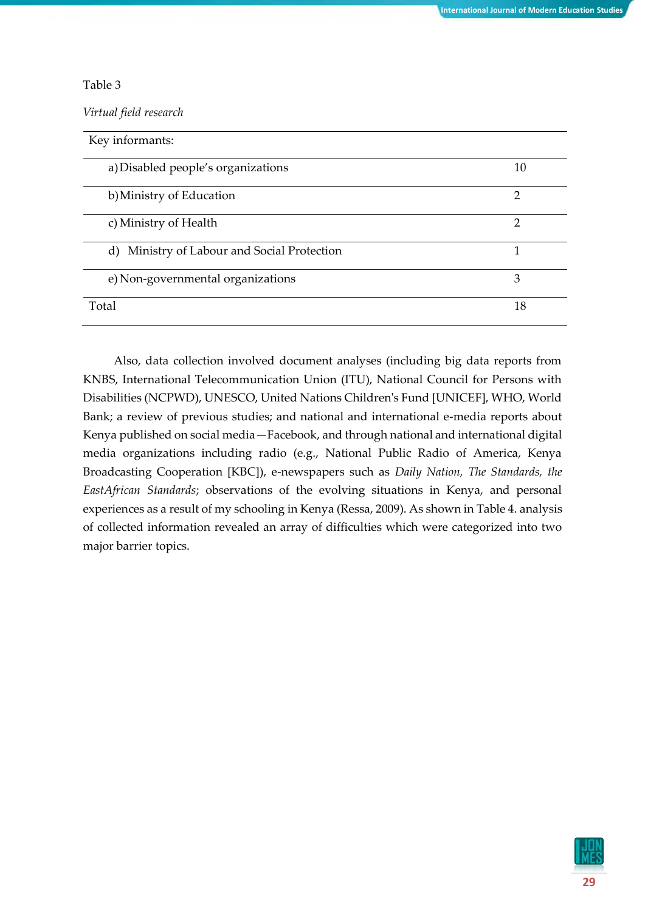## Table 3

*Virtual field research*

| Key informants:                             |               |
|---------------------------------------------|---------------|
| a) Disabled people's organizations          | 10            |
| b) Ministry of Education                    | $\mathcal{P}$ |
| c) Ministry of Health                       | 2             |
| d) Ministry of Labour and Social Protection |               |
| e) Non-governmental organizations           | 3             |
| Total                                       | 18            |

Also, data collection involved document analyses (including big data reports from KNBS, International Telecommunication Union (ITU), National Council for Persons with Disabilities (NCPWD), UNESCO, United Nations Children's Fund [UNICEF], WHO, World Bank; a review of previous studies; and national and international e-media reports about Kenya published on social media—Facebook, and through national and international digital media organizations including radio (e.g., National Public Radio of America, Kenya Broadcasting Cooperation [KBC]), e-newspapers such as *Daily Nation, The Standards, the EastAfrican Standards*; observations of the evolving situations in Kenya, and personal experiences as a result of my schooling in Kenya (Ressa, 2009). As shown in Table 4. analysis of collected information revealed an array of difficulties which were categorized into two major barrier topics.

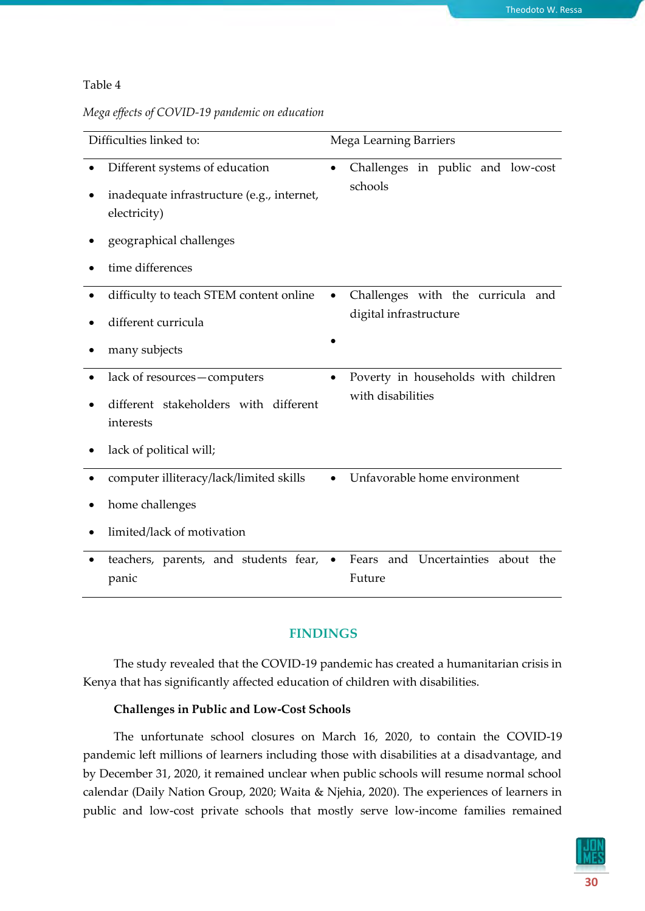### Table 4

|  |  |  |  |  | Mega effects of COVID-19 pandemic on education |  |  |
|--|--|--|--|--|------------------------------------------------|--|--|
|--|--|--|--|--|------------------------------------------------|--|--|

| Difficulties linked to:                                                                                                 | <b>Mega Learning Barriers</b>                    |
|-------------------------------------------------------------------------------------------------------------------------|--------------------------------------------------|
| Different systems of education<br>inadequate infrastructure (e.g., internet,<br>electricity)<br>geographical challenges | Challenges in public and low-cost<br>schools     |
| time differences                                                                                                        |                                                  |
| difficulty to teach STEM content online<br>$\bullet$                                                                    | Challenges with the curricula and                |
| different curricula                                                                                                     | digital infrastructure                           |
| many subjects                                                                                                           |                                                  |
| lack of resources-computers                                                                                             | Poverty in households with children<br>$\bullet$ |
| different stakeholders with different<br>interests                                                                      | with disabilities                                |
| lack of political will;                                                                                                 |                                                  |
| computer illiteracy/lack/limited skills                                                                                 | Unfavorable home environment<br>$\bullet$        |
| home challenges                                                                                                         |                                                  |
| limited/lack of motivation                                                                                              |                                                  |
| teachers, parents, and students fear,<br>panic                                                                          | and Uncertainties about the<br>Fears<br>Future   |

# **FINDINGS**

The study revealed that the COVID-19 pandemic has created a humanitarian crisis in Kenya that has significantly affected education of children with disabilities.

## **Challenges in Public and Low-Cost Schools**

The unfortunate school closures on March 16, 2020, to contain the COVID-19 pandemic left millions of learners including those with disabilities at a disadvantage, and by December 31, 2020, it remained unclear when public schools will resume normal school calendar (Daily Nation Group, 2020; Waita & Njehia, 2020). The experiences of learners in public and low-cost private schools that mostly serve low-income families remained

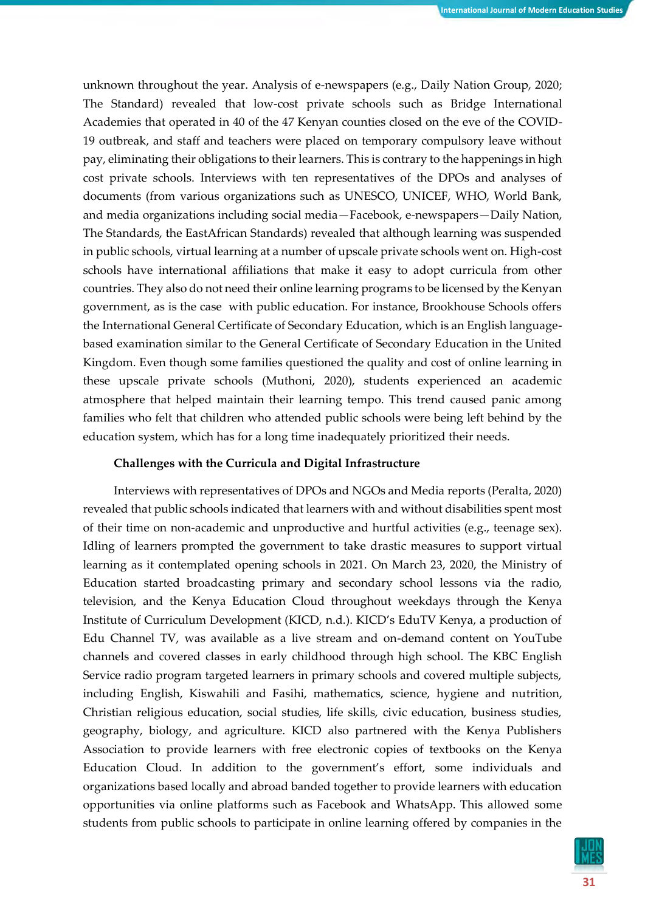unknown throughout the year. Analysis of e-newspapers (e.g., Daily Nation Group, 2020; The Standard) revealed that low-cost private schools such as Bridge International Academies that operated in 40 of the 47 Kenyan counties closed on the eve of the COVID-19 outbreak, and staff and teachers were placed on temporary compulsory leave without pay, eliminating their obligations to their learners. This is contrary to the happenings in high cost private schools. Interviews with ten representatives of the DPOs and analyses of documents (from various organizations such as UNESCO, UNICEF, WHO, World Bank, and media organizations including social media—Facebook, e-newspapers—Daily Nation, The Standards, the EastAfrican Standards) revealed that although learning was suspended in public schools, virtual learning at a number of upscale private schools went on. High-cost schools have international affiliations that make it easy to adopt curricula from other countries. They also do not need their online learning programs to be licensed by the Kenyan government, as is the case with public education. For instance, Brookhouse Schools offers the International General Certificate of Secondary Education, which is an English languagebased examination similar to the General Certificate of Secondary Education in the United Kingdom. Even though some families questioned the quality and cost of online learning in these upscale private schools (Muthoni, 2020), students experienced an academic atmosphere that helped maintain their learning tempo. This trend caused panic among families who felt that children who attended public schools were being left behind by the education system, which has for a long time inadequately prioritized their needs.

## **Challenges with the Curricula and Digital Infrastructure**

Interviews with representatives of DPOs and NGOs and Media reports (Peralta, 2020) revealed that public schools indicated that learners with and without disabilities spent most of their time on non-academic and unproductive and hurtful activities (e.g., teenage sex). Idling of learners prompted the government to take drastic measures to support virtual learning as it contemplated opening schools in 2021. On March 23, 2020, the Ministry of Education started broadcasting primary and secondary school lessons via the radio, television, and the Kenya Education Cloud throughout weekdays through the Kenya Institute of Curriculum Development (KICD, n.d.). KICD's EduTV Kenya, a production of Edu Channel TV, was available as a live stream and on-demand content on YouTube channels and covered classes in early childhood through high school. The KBC English Service radio program targeted learners in primary schools and covered multiple subjects, including English, Kiswahili and Fasihi, mathematics, science, hygiene and nutrition, Christian religious education, social studies, life skills, civic education, business studies, geography, biology, and agriculture. KICD also partnered with the Kenya Publishers Association to provide learners with free electronic copies of textbooks on the Kenya Education Cloud. In addition to the government's effort, some individuals and organizations based locally and abroad banded together to provide learners with education opportunities via online platforms such as Facebook and WhatsApp. This allowed some students from public schools to participate in online learning offered by companies in the

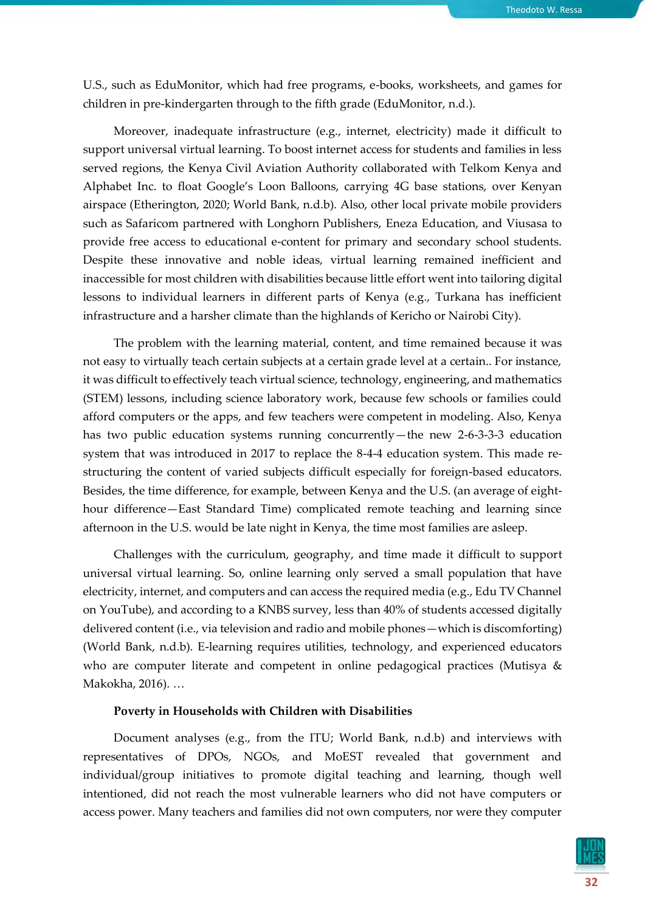U.S., such as EduMonitor, which had free programs, e-books, worksheets, and games for children in pre-kindergarten through to the fifth grade (EduMonitor, n.d.).

Moreover, inadequate infrastructure (e.g., internet, electricity) made it difficult to support universal virtual learning. To boost internet access for students and families in less served regions, the Kenya Civil Aviation Authority collaborated with Telkom Kenya and Alphabet Inc. to float Google's Loon Balloons, carrying 4G base stations, over Kenyan airspace (Etherington, 2020; World Bank, n.d.b). Also, other local private mobile providers such as Safaricom partnered with Longhorn Publishers, Eneza Education, and Viusasa to provide free access to educational e-content for primary and secondary school students. Despite these innovative and noble ideas, virtual learning remained inefficient and inaccessible for most children with disabilities because little effort went into tailoring digital lessons to individual learners in different parts of Kenya (e.g., Turkana has inefficient infrastructure and a harsher climate than the highlands of Kericho or Nairobi City).

The problem with the learning material, content, and time remained because it was not easy to virtually teach certain subjects at a certain grade level at a certain.. For instance, it was difficult to effectively teach virtual science, technology, engineering, and mathematics (STEM) lessons, including science laboratory work, because few schools or families could afford computers or the apps, and few teachers were competent in modeling. Also, Kenya has two public education systems running concurrently—the new 2-6-3-3-3 education system that was introduced in 2017 to replace the 8-4-4 education system. This made restructuring the content of varied subjects difficult especially for foreign-based educators. Besides, the time difference, for example, between Kenya and the U.S. (an average of eighthour difference—East Standard Time) complicated remote teaching and learning since afternoon in the U.S. would be late night in Kenya, the time most families are asleep.

Challenges with the curriculum, geography, and time made it difficult to support universal virtual learning. So, online learning only served a small population that have electricity, internet, and computers and can access the required media (e.g., Edu TV Channel on YouTube), and according to a KNBS survey, less than 40% of students accessed digitally delivered content (i.e., via television and radio and mobile phones—which is discomforting) (World Bank, n.d.b). E-learning requires utilities, technology, and experienced educators who are computer literate and competent in online pedagogical practices (Mutisya & Makokha, 2016). …

#### **Poverty in Households with Children with Disabilities**

Document analyses (e.g., from the ITU; World Bank, n.d.b) and interviews with representatives of DPOs, NGOs, and MoEST revealed that government and individual/group initiatives to promote digital teaching and learning, though well intentioned, did not reach the most vulnerable learners who did not have computers or access power. Many teachers and families did not own computers, nor were they computer

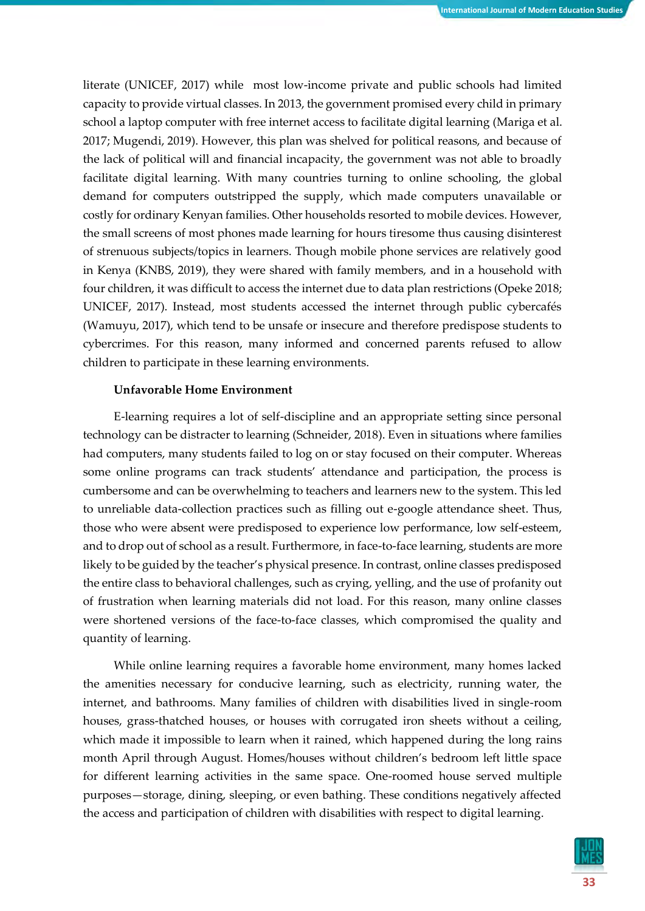literate (UNICEF, 2017) while most low-income private and public schools had limited capacity to provide virtual classes. In 2013, the government promised every child in primary school a laptop computer with free internet access to facilitate digital learning (Mariga et al. 2017; Mugendi, 2019). However, this plan was shelved for political reasons, and because of the lack of political will and financial incapacity, the government was not able to broadly facilitate digital learning. With many countries turning to online schooling, the global demand for computers outstripped the supply, which made computers unavailable or costly for ordinary Kenyan families. Other households resorted to mobile devices. However, the small screens of most phones made learning for hours tiresome thus causing disinterest of strenuous subjects/topics in learners. Though mobile phone services are relatively good in Kenya (KNBS, 2019), they were shared with family members, and in a household with four children, it was difficult to access the internet due to data plan restrictions (Opeke 2018; UNICEF, 2017). Instead, most students accessed the internet through public cybercafés (Wamuyu, 2017), which tend to be unsafe or insecure and therefore predispose students to cybercrimes. For this reason, many informed and concerned parents refused to allow children to participate in these learning environments.

## **Unfavorable Home Environment**

E-learning requires a lot of self-discipline and an appropriate setting since personal technology can be distracter to learning (Schneider, 2018). Even in situations where families had computers, many students failed to log on or stay focused on their computer. Whereas some online programs can track students' attendance and participation, the process is cumbersome and can be overwhelming to teachers and learners new to the system. This led to unreliable data-collection practices such as filling out e-google attendance sheet. Thus, those who were absent were predisposed to experience low performance, low self-esteem, and to drop out of school as a result. Furthermore, in face-to-face learning, students are more likely to be guided by the teacher's physical presence. In contrast, online classes predisposed the entire class to behavioral challenges, such as crying, yelling, and the use of profanity out of frustration when learning materials did not load. For this reason, many online classes were shortened versions of the face-to-face classes, which compromised the quality and quantity of learning.

While online learning requires a favorable home environment, many homes lacked the amenities necessary for conducive learning, such as electricity, running water, the internet, and bathrooms. Many families of children with disabilities lived in single-room houses, grass-thatched houses, or houses with corrugated iron sheets without a ceiling, which made it impossible to learn when it rained, which happened during the long rains month April through August. Homes/houses without children's bedroom left little space for different learning activities in the same space. One-roomed house served multiple purposes—storage, dining, sleeping, or even bathing. These conditions negatively affected the access and participation of children with disabilities with respect to digital learning.

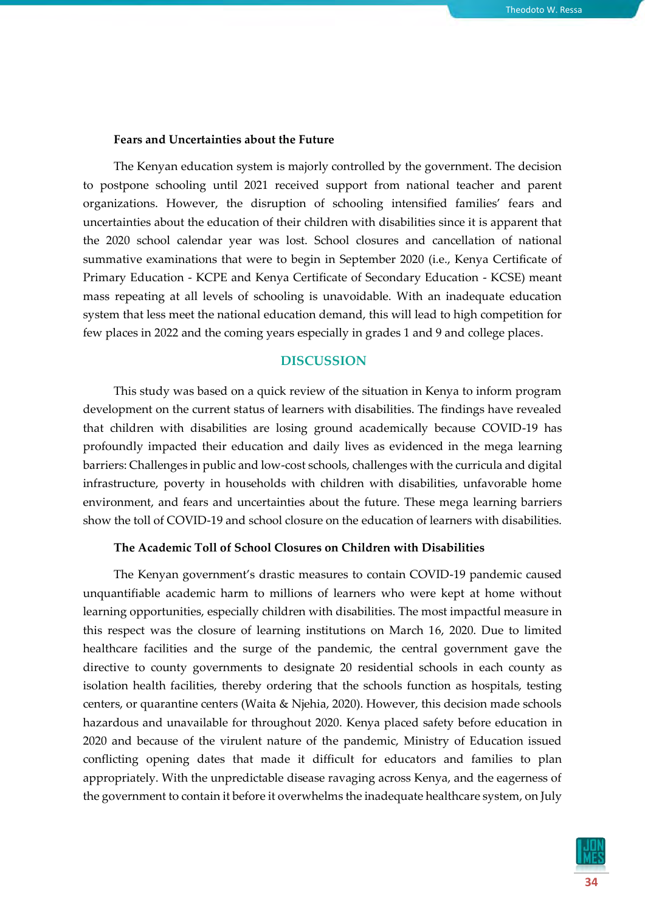#### **Fears and Uncertainties about the Future**

The Kenyan education system is majorly controlled by the government. The decision to postpone schooling until 2021 received support from national teacher and parent organizations. However, the disruption of schooling intensified families' fears and uncertainties about the education of their children with disabilities since it is apparent that the 2020 school calendar year was lost. School closures and cancellation of national summative examinations that were to begin in September 2020 (i.e., Kenya Certificate of Primary Education - KCPE and Kenya Certificate of Secondary Education - KCSE) meant mass repeating at all levels of schooling is unavoidable. With an inadequate education system that less meet the national education demand, this will lead to high competition for few places in 2022 and the coming years especially in grades 1 and 9 and college places.

## **DISCUSSION**

This study was based on a quick review of the situation in Kenya to inform program development on the current status of learners with disabilities. The findings have revealed that children with disabilities are losing ground academically because COVID-19 has profoundly impacted their education and daily lives as evidenced in the mega learning barriers: Challenges in public and low-cost schools, challenges with the curricula and digital infrastructure, poverty in households with children with disabilities, unfavorable home environment, and fears and uncertainties about the future. These mega learning barriers show the toll of COVID-19 and school closure on the education of learners with disabilities.

#### **The Academic Toll of School Closures on Children with Disabilities**

The Kenyan government's drastic measures to contain COVID-19 pandemic caused unquantifiable academic harm to millions of learners who were kept at home without learning opportunities, especially children with disabilities. The most impactful measure in this respect was the closure of learning institutions on March 16, 2020. Due to limited healthcare facilities and the surge of the pandemic, the central government gave the directive to county governments to designate 20 residential schools in each county as isolation health facilities, thereby ordering that the schools function as hospitals, testing centers, or quarantine centers (Waita & Njehia, 2020). However, this decision made schools hazardous and unavailable for throughout 2020. Kenya placed safety before education in 2020 and because of the virulent nature of the pandemic, Ministry of Education issued conflicting opening dates that made it difficult for educators and families to plan appropriately. With the unpredictable disease ravaging across Kenya, and the eagerness of the government to contain it before it overwhelms the inadequate healthcare system, on July

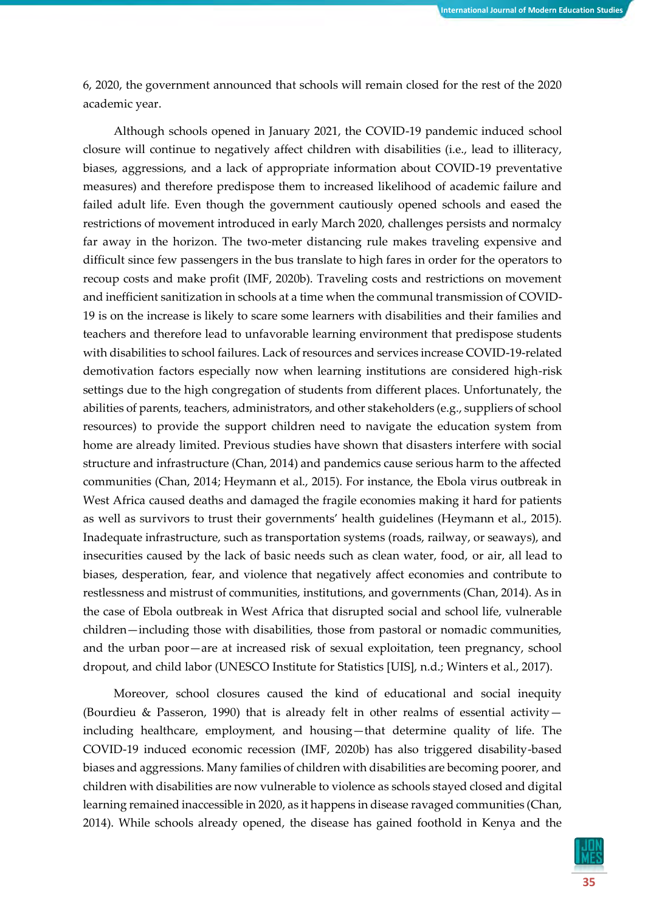6, 2020, the government announced that schools will remain closed for the rest of the 2020 academic year.

Although schools opened in January 2021, the COVID-19 pandemic induced school closure will continue to negatively affect children with disabilities (i.e., lead to illiteracy, biases, aggressions, and a lack of appropriate information about COVID-19 preventative measures) and therefore predispose them to increased likelihood of academic failure and failed adult life. Even though the government cautiously opened schools and eased the restrictions of movement introduced in early March 2020, challenges persists and normalcy far away in the horizon. The two-meter distancing rule makes traveling expensive and difficult since few passengers in the bus translate to high fares in order for the operators to recoup costs and make profit (IMF, 2020b). Traveling costs and restrictions on movement and inefficient sanitization in schools at a time when the communal transmission of COVID-19 is on the increase is likely to scare some learners with disabilities and their families and teachers and therefore lead to unfavorable learning environment that predispose students with disabilities to school failures. Lack of resources and services increase COVID-19-related demotivation factors especially now when learning institutions are considered high-risk settings due to the high congregation of students from different places. Unfortunately, the abilities of parents, teachers, administrators, and other stakeholders (e.g., suppliers of school resources) to provide the support children need to navigate the education system from home are already limited. Previous studies have shown that disasters interfere with social structure and infrastructure (Chan, 2014) and pandemics cause serious harm to the affected communities (Chan, 2014; Heymann et al., 2015). For instance, the Ebola virus outbreak in West Africa caused deaths and damaged the fragile economies making it hard for patients as well as survivors to trust their governments' health guidelines (Heymann et al., 2015). Inadequate infrastructure, such as transportation systems (roads, railway, or seaways), and insecurities caused by the lack of basic needs such as clean water, food, or air, all lead to biases, desperation, fear, and violence that negatively affect economies and contribute to restlessness and mistrust of communities, institutions, and governments (Chan, 2014). As in the case of Ebola outbreak in West Africa that disrupted social and school life, vulnerable children—including those with disabilities, those from pastoral or nomadic communities, and the urban poor—are at increased risk of sexual exploitation, teen pregnancy, school dropout, and child labor (UNESCO Institute for Statistics [UIS], n.d.; Winters et al., 2017).

Moreover, school closures caused the kind of educational and social inequity (Bourdieu & Passeron, 1990) that is already felt in other realms of essential activity including healthcare, employment, and housing—that determine quality of life. The COVID-19 induced economic recession (IMF, 2020b) has also triggered disability-based biases and aggressions. Many families of children with disabilities are becoming poorer, and children with disabilities are now vulnerable to violence as schools stayed closed and digital learning remained inaccessible in 2020, as it happens in disease ravaged communities (Chan, 2014). While schools already opened, the disease has gained foothold in Kenya and the

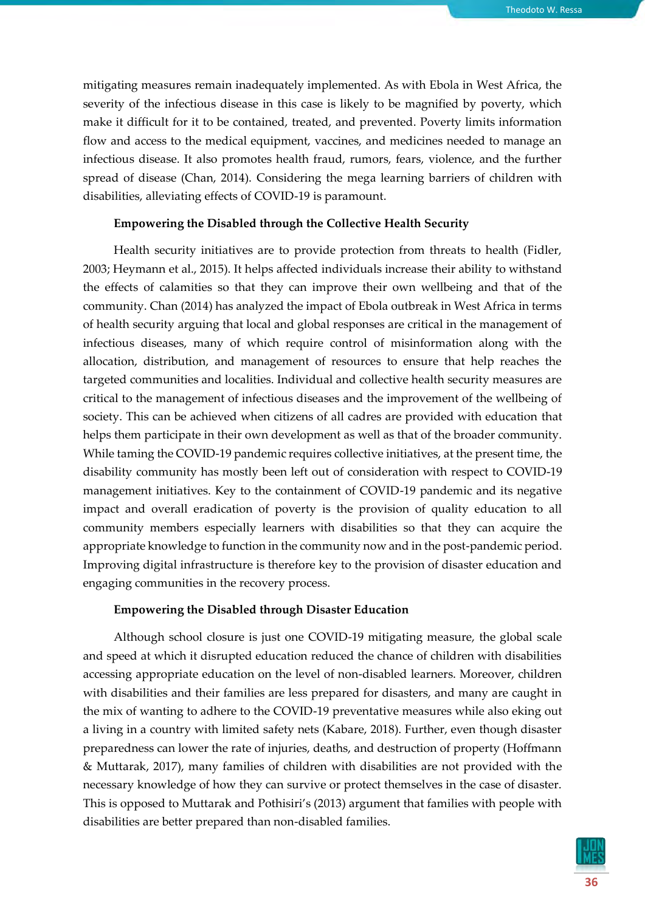mitigating measures remain inadequately implemented. As with Ebola in West Africa, the severity of the infectious disease in this case is likely to be magnified by poverty, which make it difficult for it to be contained, treated, and prevented. Poverty limits information flow and access to the medical equipment, vaccines, and medicines needed to manage an infectious disease. It also promotes health fraud, rumors, fears, violence, and the further spread of disease (Chan, 2014). Considering the mega learning barriers of children with disabilities, alleviating effects of COVID-19 is paramount.

#### **Empowering the Disabled through the Collective Health Security**

Health security initiatives are to provide protection from threats to health (Fidler, 2003; Heymann et al., 2015). It helps affected individuals increase their ability to withstand the effects of calamities so that they can improve their own wellbeing and that of the community. Chan (2014) has analyzed the impact of Ebola outbreak in West Africa in terms of health security arguing that local and global responses are critical in the management of infectious diseases, many of which require control of misinformation along with the allocation, distribution, and management of resources to ensure that help reaches the targeted communities and localities. Individual and collective health security measures are critical to the management of infectious diseases and the improvement of the wellbeing of society. This can be achieved when citizens of all cadres are provided with education that helps them participate in their own development as well as that of the broader community. While taming the COVID-19 pandemic requires collective initiatives, at the present time, the disability community has mostly been left out of consideration with respect to COVID-19 management initiatives. Key to the containment of COVID-19 pandemic and its negative impact and overall eradication of poverty is the provision of quality education to all community members especially learners with disabilities so that they can acquire the appropriate knowledge to function in the community now and in the post-pandemic period. Improving digital infrastructure is therefore key to the provision of disaster education and engaging communities in the recovery process.

#### **Empowering the Disabled through Disaster Education**

Although school closure is just one COVID-19 mitigating measure, the global scale and speed at which it disrupted education reduced the chance of children with disabilities accessing appropriate education on the level of non-disabled learners. Moreover, children with disabilities and their families are less prepared for disasters, and many are caught in the mix of wanting to adhere to the COVID-19 preventative measures while also eking out a living in a country with limited safety nets (Kabare, 2018). Further, even though disaster preparedness can lower the rate of injuries, deaths, and destruction of property (Hoffmann & Muttarak, 2017), many families of children with disabilities are not provided with the necessary knowledge of how they can survive or protect themselves in the case of disaster. This is opposed to Muttarak and Pothisiri's (2013) argument that families with people with disabilities are better prepared than non-disabled families.

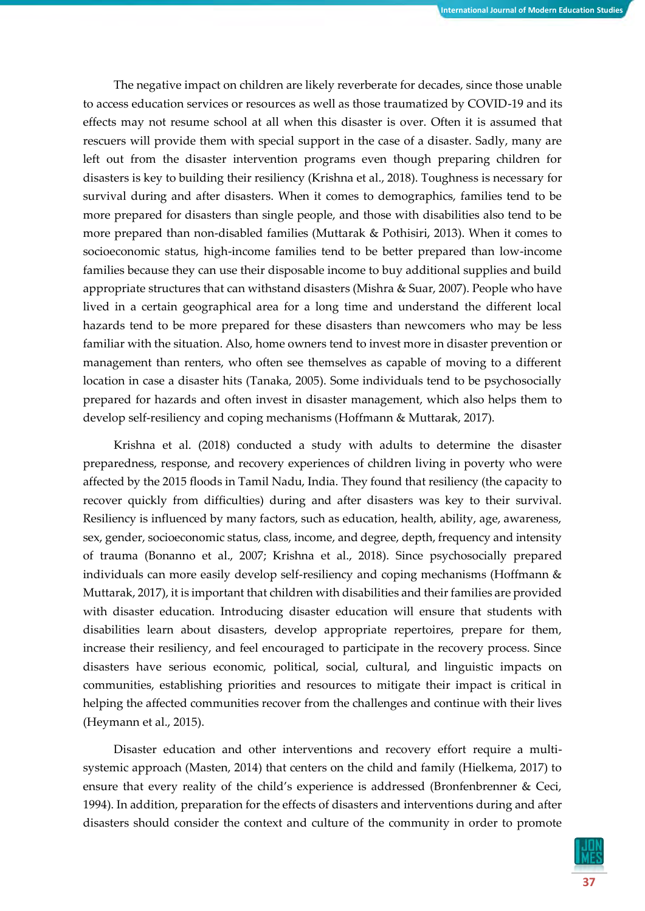The negative impact on children are likely reverberate for decades, since those unable to access education services or resources as well as those traumatized by COVID-19 and its effects may not resume school at all when this disaster is over. Often it is assumed that rescuers will provide them with special support in the case of a disaster. Sadly, many are left out from the disaster intervention programs even though preparing children for disasters is key to building their resiliency (Krishna et al., 2018). Toughness is necessary for survival during and after disasters. When it comes to demographics, families tend to be more prepared for disasters than single people, and those with disabilities also tend to be more prepared than non-disabled families (Muttarak & Pothisiri, 2013). When it comes to socioeconomic status, high-income families tend to be better prepared than low-income families because they can use their disposable income to buy additional supplies and build appropriate structures that can withstand disasters (Mishra & Suar, 2007). People who have lived in a certain geographical area for a long time and understand the different local hazards tend to be more prepared for these disasters than newcomers who may be less familiar with the situation. Also, home owners tend to invest more in disaster prevention or management than renters, who often see themselves as capable of moving to a different location in case a disaster hits (Tanaka, 2005). Some individuals tend to be psychosocially prepared for hazards and often invest in disaster management, which also helps them to develop self-resiliency and coping mechanisms (Hoffmann & Muttarak, 2017).

Krishna et al. (2018) conducted a study with adults to determine the disaster preparedness, response, and recovery experiences of children living in poverty who were affected by the 2015 floods in Tamil Nadu, India. They found that resiliency (the capacity to recover quickly from difficulties) during and after disasters was key to their survival. Resiliency is influenced by many factors, such as education, health, ability, age, awareness, sex, gender, socioeconomic status, class, income, and degree, depth, frequency and intensity of trauma (Bonanno et al., 2007; Krishna et al., 2018). Since psychosocially prepared individuals can more easily develop self-resiliency and coping mechanisms (Hoffmann & Muttarak, 2017), it is important that children with disabilities and their families are provided with disaster education. Introducing disaster education will ensure that students with disabilities learn about disasters, develop appropriate repertoires, prepare for them, increase their resiliency, and feel encouraged to participate in the recovery process. Since disasters have serious economic, political, social, cultural, and linguistic impacts on communities, establishing priorities and resources to mitigate their impact is critical in helping the affected communities recover from the challenges and continue with their lives (Heymann et al., 2015).

Disaster education and other interventions and recovery effort require a multisystemic approach (Masten, 2014) that centers on the child and family (Hielkema, 2017) to ensure that every reality of the child's experience is addressed (Bronfenbrenner & Ceci, 1994). In addition, preparation for the effects of disasters and interventions during and after disasters should consider the context and culture of the community in order to promote

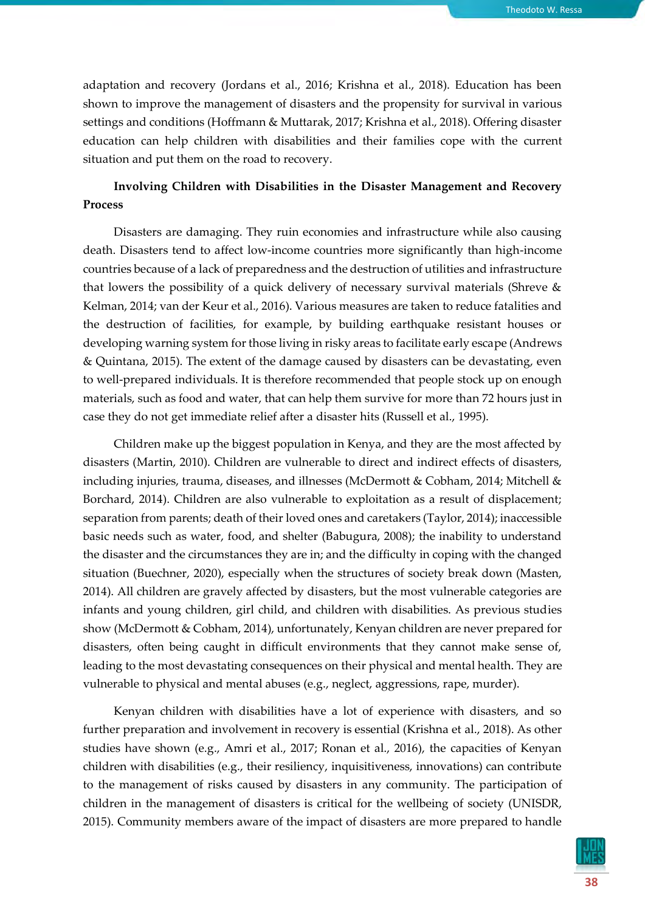adaptation and recovery (Jordans et al., 2016; Krishna et al., 2018). Education has been shown to improve the management of disasters and the propensity for survival in various settings and conditions (Hoffmann & Muttarak, 2017; Krishna et al., 2018). Offering disaster education can help children with disabilities and their families cope with the current situation and put them on the road to recovery.

# **Involving Children with Disabilities in the Disaster Management and Recovery Process**

Disasters are damaging. They ruin economies and infrastructure while also causing death. Disasters tend to affect low-income countries more significantly than high-income countries because of a lack of preparedness and the destruction of utilities and infrastructure that lowers the possibility of a quick delivery of necessary survival materials (Shreve & Kelman, 2014; van der Keur et al., 2016). Various measures are taken to reduce fatalities and the destruction of facilities, for example, by building earthquake resistant houses or developing warning system for those living in risky areas to facilitate early escape (Andrews & Quintana, 2015). The extent of the damage caused by disasters can be devastating, even to well-prepared individuals. It is therefore recommended that people stock up on enough materials, such as food and water, that can help them survive for more than 72 hours just in case they do not get immediate relief after a disaster hits (Russell et al., 1995).

Children make up the biggest population in Kenya, and they are the most affected by disasters (Martin, 2010). Children are vulnerable to direct and indirect effects of disasters, including injuries, trauma, diseases, and illnesses (McDermott & Cobham, 2014; Mitchell & Borchard, 2014). Children are also vulnerable to exploitation as a result of displacement; separation from parents; death of their loved ones and caretakers (Taylor, 2014); inaccessible basic needs such as water, food, and shelter (Babugura, 2008); the inability to understand the disaster and the circumstances they are in; and the difficulty in coping with the changed situation (Buechner, 2020), especially when the structures of society break down (Masten, 2014). All children are gravely affected by disasters, but the most vulnerable categories are infants and young children, girl child, and children with disabilities. As previous studies show (McDermott & Cobham, 2014), unfortunately, Kenyan children are never prepared for disasters, often being caught in difficult environments that they cannot make sense of, leading to the most devastating consequences on their physical and mental health. They are vulnerable to physical and mental abuses (e.g., neglect, aggressions, rape, murder).

Kenyan children with disabilities have a lot of experience with disasters, and so further preparation and involvement in recovery is essential (Krishna et al., 2018). As other studies have shown (e.g., Amri et al., 2017; Ronan et al., 2016), the capacities of Kenyan children with disabilities (e.g., their resiliency, inquisitiveness, innovations) can contribute to the management of risks caused by disasters in any community. The participation of children in the management of disasters is critical for the wellbeing of society (UNISDR, 2015). Community members aware of the impact of disasters are more prepared to handle

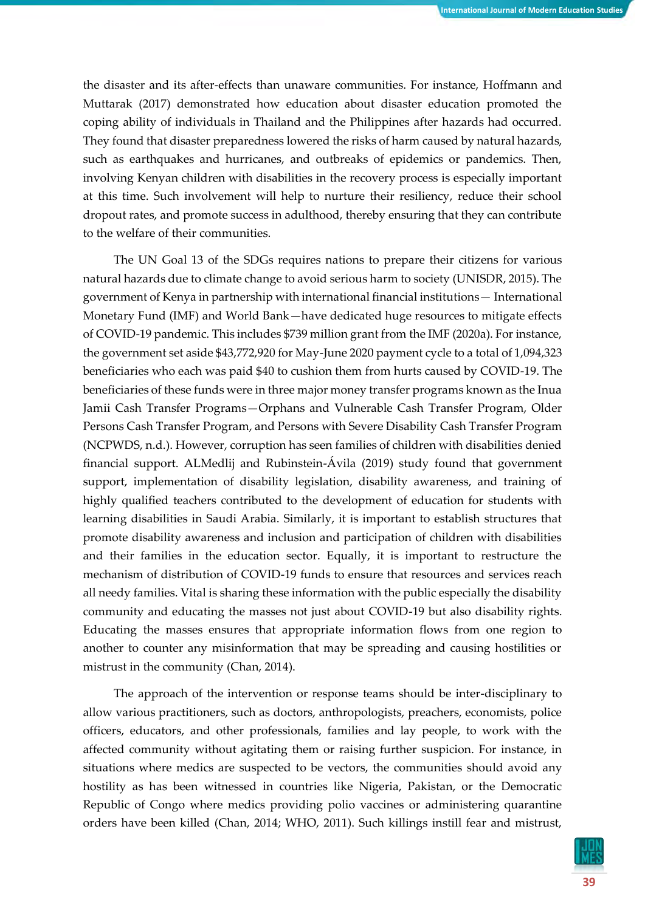the disaster and its after-effects than unaware communities. For instance, Hoffmann and Muttarak (2017) demonstrated how education about disaster education promoted the coping ability of individuals in Thailand and the Philippines after hazards had occurred. They found that disaster preparedness lowered the risks of harm caused by natural hazards, such as earthquakes and hurricanes, and outbreaks of epidemics or pandemics. Then, involving Kenyan children with disabilities in the recovery process is especially important at this time. Such involvement will help to nurture their resiliency, reduce their school dropout rates, and promote success in adulthood, thereby ensuring that they can contribute to the welfare of their communities.

The UN Goal 13 of the SDGs requires nations to prepare their citizens for various natural hazards due to climate change to avoid serious harm to society (UNISDR, 2015). The government of Kenya in partnership with international financial institutions— International Monetary Fund (IMF) and World Bank—have dedicated huge resources to mitigate effects of COVID-19 pandemic. This includes \$739 million grant from the IMF (2020a). For instance, the government set aside \$43,772,920 for May-June 2020 payment cycle to a total of 1,094,323 beneficiaries who each was paid \$40 to cushion them from hurts caused by COVID-19. The beneficiaries of these funds were in three major money transfer programs known as the Inua Jamii Cash Transfer Programs—Orphans and Vulnerable Cash Transfer Program, Older Persons Cash Transfer Program, and Persons with Severe Disability Cash Transfer Program (NCPWDS, n.d.). However, corruption has seen families of children with disabilities denied financial support. ALMedlij and Rubinstein-Ávila (2019) study found that government support, implementation of disability legislation, disability awareness, and training of highly qualified teachers contributed to the development of education for students with learning disabilities in Saudi Arabia. Similarly, it is important to establish structures that promote disability awareness and inclusion and participation of children with disabilities and their families in the education sector. Equally, it is important to restructure the mechanism of distribution of COVID-19 funds to ensure that resources and services reach all needy families. Vital is sharing these information with the public especially the disability community and educating the masses not just about COVID-19 but also disability rights. Educating the masses ensures that appropriate information flows from one region to another to counter any misinformation that may be spreading and causing hostilities or mistrust in the community (Chan, 2014).

The approach of the intervention or response teams should be inter-disciplinary to allow various practitioners, such as doctors, anthropologists, preachers, economists, police officers, educators, and other professionals, families and lay people, to work with the affected community without agitating them or raising further suspicion. For instance, in situations where medics are suspected to be vectors, the communities should avoid any hostility as has been witnessed in countries like Nigeria, Pakistan, or the Democratic Republic of Congo where medics providing polio vaccines or administering quarantine orders have been killed (Chan, 2014; WHO, 2011). Such killings instill fear and mistrust,

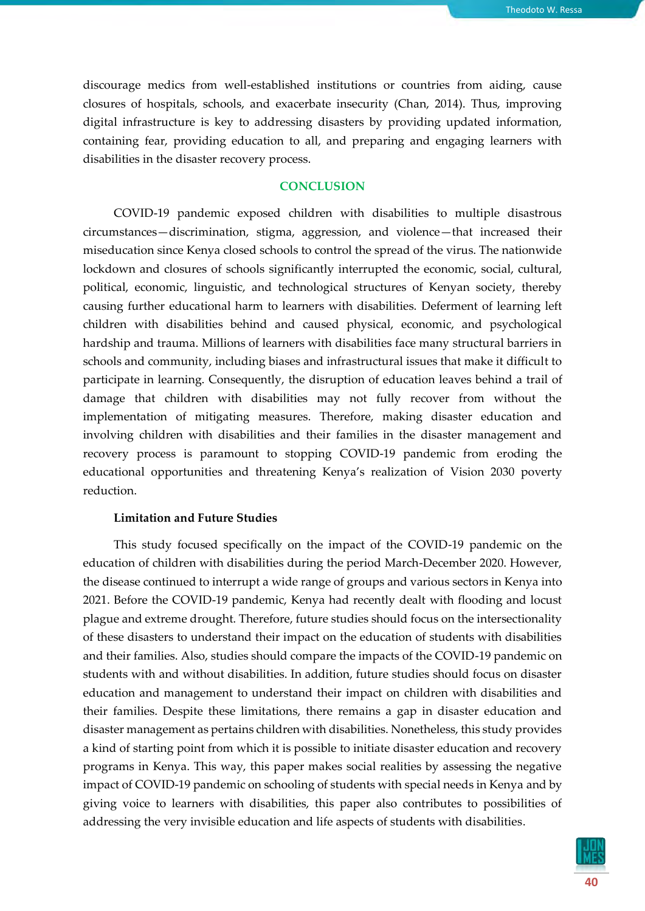discourage medics from well-established institutions or countries from aiding, cause closures of hospitals, schools, and exacerbate insecurity (Chan, 2014). Thus, improving digital infrastructure is key to addressing disasters by providing updated information, containing fear, providing education to all, and preparing and engaging learners with disabilities in the disaster recovery process.

## **CONCLUSION**

COVID-19 pandemic exposed children with disabilities to multiple disastrous circumstances—discrimination, stigma, aggression, and violence—that increased their miseducation since Kenya closed schools to control the spread of the virus. The nationwide lockdown and closures of schools significantly interrupted the economic, social, cultural, political, economic, linguistic, and technological structures of Kenyan society, thereby causing further educational harm to learners with disabilities. Deferment of learning left children with disabilities behind and caused physical, economic, and psychological hardship and trauma. Millions of learners with disabilities face many structural barriers in schools and community, including biases and infrastructural issues that make it difficult to participate in learning. Consequently, the disruption of education leaves behind a trail of damage that children with disabilities may not fully recover from without the implementation of mitigating measures. Therefore, making disaster education and involving children with disabilities and their families in the disaster management and recovery process is paramount to stopping COVID-19 pandemic from eroding the educational opportunities and threatening Kenya's realization of Vision 2030 poverty reduction.

## **Limitation and Future Studies**

This study focused specifically on the impact of the COVID-19 pandemic on the education of children with disabilities during the period March-December 2020. However, the disease continued to interrupt a wide range of groups and various sectors in Kenya into 2021. Before the COVID-19 pandemic, Kenya had recently dealt with flooding and locust plague and extreme drought. Therefore, future studies should focus on the intersectionality of these disasters to understand their impact on the education of students with disabilities and their families. Also, studies should compare the impacts of the COVID-19 pandemic on students with and without disabilities. In addition, future studies should focus on disaster education and management to understand their impact on children with disabilities and their families. Despite these limitations, there remains a gap in disaster education and disaster management as pertains children with disabilities. Nonetheless, this study provides a kind of starting point from which it is possible to initiate disaster education and recovery programs in Kenya. This way, this paper makes social realities by assessing the negative impact of COVID-19 pandemic on schooling of students with special needs in Kenya and by giving voice to learners with disabilities, this paper also contributes to possibilities of addressing the very invisible education and life aspects of students with disabilities.

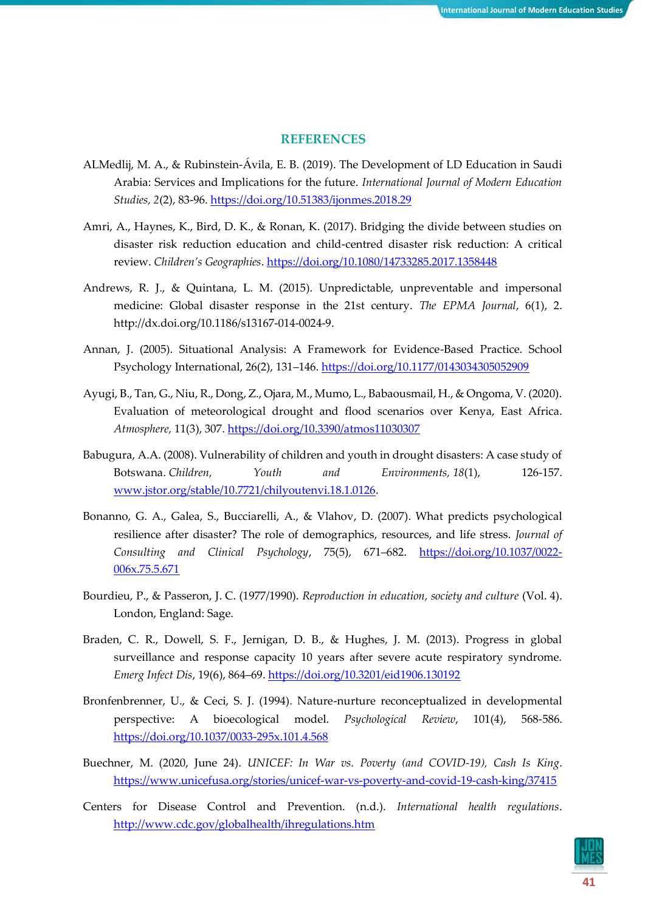## **REFERENCES**

- ALMedlij, M. A., & Rubinstein-Ávila, E. B. (2019). The Development of LD Education in Saudi Arabia: Services and Implications for the future. *International Journal of Modern Education Studies, 2*(2), 83-96.<https://doi.org/10.51383/ijonmes.2018.29>
- Amri, A., Haynes, K., Bird, D. K., & Ronan, K. (2017). Bridging the divide between studies on disaster risk reduction education and child-centred disaster risk reduction: A critical review. *Children's Geographies*.<https://doi.org/10.1080/14733285.2017.1358448>
- Andrews, R. J., & Quintana, L. M. (2015). Unpredictable, unpreventable and impersonal medicine: Global disaster response in the 21st century. *The EPMA Journal*, 6(1), 2. http://dx.doi.org/10.1186/s13167-014-0024-9.
- Annan, J. (2005). Situational Analysis: A Framework for Evidence-Based Practice. School Psychology International, 26(2), 131–146. <https://doi.org/10.1177/0143034305052909>
- Ayugi, B., Tan, G., Niu, R., Dong, Z., Ojara, M., Mumo, L., Babaousmail, H., & Ongoma, V. (2020). Evaluation of meteorological drought and flood scenarios over Kenya, East Africa. *Atmosphere,* 11(3), 307.<https://doi.org/10.3390/atmos11030307>
- Babugura, A.A. (2008). Vulnerability of children and youth in drought disasters: A case study of Botswana. *Children, Youth and Environments, 18*(1), 126-157. [www.jstor.org/stable/10.7721/chilyoutenvi.18.1.0126.](http://www.jstor.org/stable/10.7721/chilyoutenvi.18.1.0126)
- Bonanno, G. A., Galea, S., Bucciarelli, A., & Vlahov, D. (2007). What predicts psychological resilience after disaster? The role of demographics, resources, and life stress. *Journal of Consulting and Clinical Psychology*, 75(5), 671–682. [https://doi.org/10.1037/0022-](https://doi.org/10.1037/0022-006x.75.5.671) [006x.75.5.671](https://doi.org/10.1037/0022-006x.75.5.671)
- Bourdieu, P., & Passeron, J. C. (1977/1990). *Reproduction in education, society and culture* (Vol. 4). London, England: Sage.
- Braden, C. R., Dowell, S. F., Jernigan, D. B., & Hughes, J. M. (2013). Progress in global surveillance and response capacity 10 years after severe acute respiratory syndrome. *Emerg Infect Dis*, 19(6), 864–69[. https://doi.org/10.3201/eid1906.130192](https://doi.org/10.3201/eid1906.130192)
- Bronfenbrenner, U., & Ceci, S. J. (1994). Nature-nurture reconceptualized in developmental perspective: A bioecological model. *Psychological Review*, 101(4), 568-586. <https://doi.org/10.1037/0033-295x.101.4.568>
- Buechner, M. (2020, June 24). *UNICEF: In War vs. Poverty (and COVID-19), Cash Is King*. <https://www.unicefusa.org/stories/unicef-war-vs-poverty-and-covid-19-cash-king/37415>
- Centers for Disease Control and Prevention. (n.d.). *International health regulations*. <http://www.cdc.gov/globalhealth/ihregulations.htm>

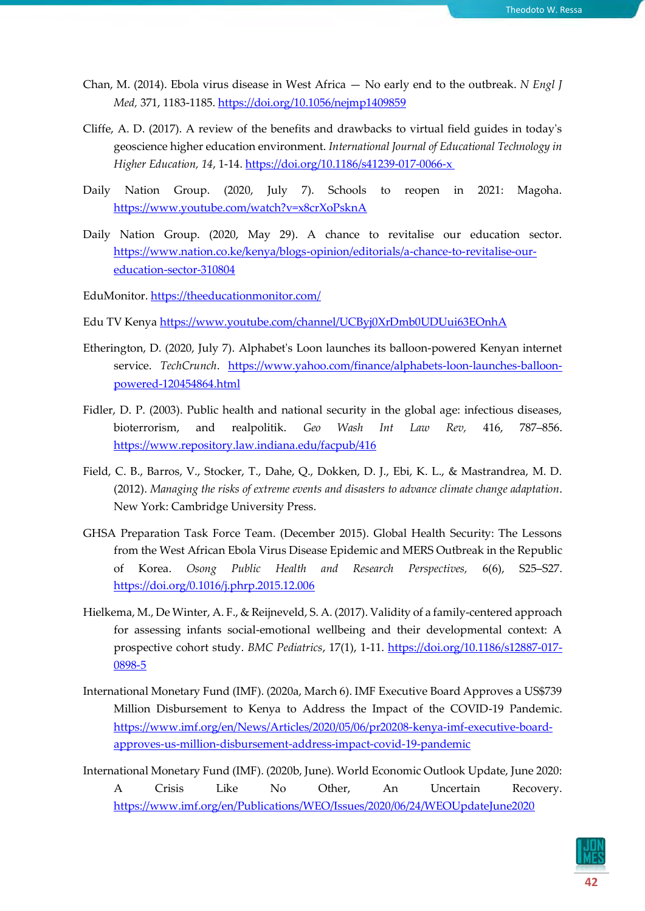- Chan, M. (2014). Ebola virus disease in West Africa No early end to the outbreak. *N Engl J Med,* 371, 1183-1185.<https://doi.org/10.1056/nejmp1409859>
- Cliffe, A. D. (2017). A review of the benefits and drawbacks to virtual field guides in today's geoscience higher education environment. *International Journal of Educational Technology in Higher Education, 14*, 1-14.<https://doi.org/10.1186/s41239-017-0066-x>
- Daily Nation Group. (2020, July 7). Schools to reopen in 2021: Magoha. <https://www.youtube.com/watch?v=x8crXoPsknA>
- Daily Nation Group. (2020, May 29). A chance to revitalise our education sector. [https://www.nation.co.ke/kenya/blogs-opinion/editorials/a-chance-to-revitalise-our](https://www.nation.co.ke/kenya/blogs-opinion/editorials/a-chance-to-revitalise-our-education-sector-310804)[education-sector-310804](https://www.nation.co.ke/kenya/blogs-opinion/editorials/a-chance-to-revitalise-our-education-sector-310804)

EduMonitor. <https://theeducationmonitor.com/>

- Edu TV Kenya <https://www.youtube.com/channel/UCByj0XrDmb0UDUui63EOnhA>
- Etherington, D. (2020, July 7). Alphabet's Loon launches its balloon-powered Kenyan internet service. *TechCrunch*. [https://www.yahoo.com/finance/alphabets-loon-launches-balloon](https://www.yahoo.com/finance/alphabets-loon-launches-balloon-powered-120454864.html)[powered-120454864.html](https://www.yahoo.com/finance/alphabets-loon-launches-balloon-powered-120454864.html)
- Fidler, D. P. (2003). Public health and national security in the global age: infectious diseases, bioterrorism, and realpolitik. *Geo Wash Int Law Rev,* 416, 787–856. <https://www.repository.law.indiana.edu/facpub/416>
- Field, C. B., Barros, V., Stocker, T., Dahe, Q., Dokken, D. J., Ebi, K. L., & Mastrandrea, M. D. (2012). *Managing the risks of extreme events and disasters to advance climate change adaptation*. New York: Cambridge University Press.
- GHSA Preparation Task Force Team. (December 2015). Global Health Security: The Lessons from the West African Ebola Virus Disease Epidemic and MERS Outbreak in the Republic of Korea. *Osong Public Health and Research Perspectives,* 6(6), S25–S27. <https://doi.org/0.1016/j.phrp.2015.12.006>
- Hielkema, M., De Winter, A. F., & Reijneveld, S. A. (2017). Validity of a family-centered approach for assessing infants social-emotional wellbeing and their developmental context: A prospective cohort study. *BMC Pediatrics*, 17(1), 1-11. [https://doi.org/10.1186/s12887-017-](https://doi.org/10.1186/s12887-017-0898-5) [0898-5](https://doi.org/10.1186/s12887-017-0898-5)
- International Monetary Fund (IMF). (2020a, March 6). IMF Executive Board Approves a US\$739 Million Disbursement to Kenya to Address the Impact of the COVID-19 Pandemic. [https://www.imf.org/en/News/Articles/2020/05/06/pr20208-kenya-imf-executive-board](https://www.imf.org/en/News/Articles/2020/05/06/pr20208-kenya-imf-executive-board-approves-us-million-disbursement-address-impact-covid-19-pandemic)[approves-us-million-disbursement-address-impact-covid-19-pandemic](https://www.imf.org/en/News/Articles/2020/05/06/pr20208-kenya-imf-executive-board-approves-us-million-disbursement-address-impact-covid-19-pandemic)
- International Monetary Fund (IMF). (2020b, June). World Economic Outlook Update, June 2020: A Crisis Like No Other, An Uncertain Recovery. <https://www.imf.org/en/Publications/WEO/Issues/2020/06/24/WEOUpdateJune2020>

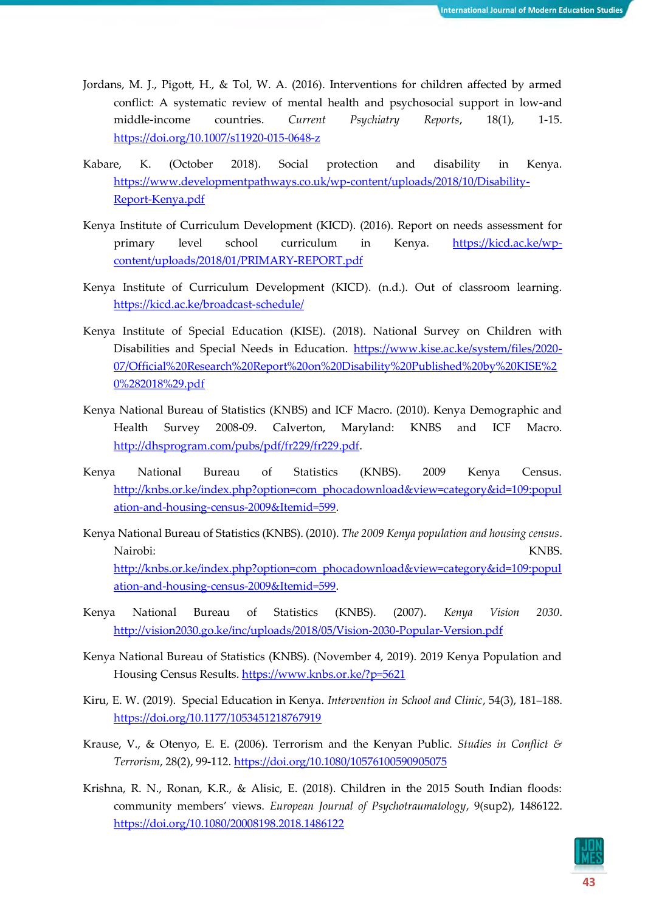- Jordans, M. J., Pigott, H., & Tol, W. A. (2016). Interventions for children affected by armed conflict: A systematic review of mental health and psychosocial support in low-and middle-income countries. *Current Psychiatry Reports*, 18(1), 1-15. <https://doi.org/10.1007/s11920-015-0648-z>
- Kabare, K. (October 2018). Social protection and disability in Kenya. [https://www.developmentpathways.co.uk/wp-content/uploads/2018/10/Disability-](https://www.developmentpathways.co.uk/wp-content/uploads/2018/10/Disability-Report-Kenya.pdf)[Report-Kenya.pdf](https://www.developmentpathways.co.uk/wp-content/uploads/2018/10/Disability-Report-Kenya.pdf)
- Kenya Institute of Curriculum Development (KICD). (2016). Report on needs assessment for primary level school curriculum in Kenya. [https://kicd.ac.ke/wp](https://kicd.ac.ke/wp-content/uploads/2018/01/PRIMARY-REPORT.pdf)[content/uploads/2018/01/PRIMARY-REPORT.pdf](https://kicd.ac.ke/wp-content/uploads/2018/01/PRIMARY-REPORT.pdf)
- Kenya Institute of Curriculum Development (KICD). (n.d.). Out of classroom learning. <https://kicd.ac.ke/broadcast-schedule/>
- Kenya Institute of Special Education (KISE). (2018). National Survey on Children with Disabilities and Special Needs in Education. [https://www.kise.ac.ke/system/files/2020-](https://www.kise.ac.ke/system/files/2020-07/Official%20Research%20Report%20on%20Disability%20Published%20by%20KISE%20%282018%29.pdf) [07/Official%20Research%20Report%20on%20Disability%20Published%20by%20KISE%2](https://www.kise.ac.ke/system/files/2020-07/Official%20Research%20Report%20on%20Disability%20Published%20by%20KISE%20%282018%29.pdf) [0%282018%29.pdf](https://www.kise.ac.ke/system/files/2020-07/Official%20Research%20Report%20on%20Disability%20Published%20by%20KISE%20%282018%29.pdf)
- Kenya National Bureau of Statistics (KNBS) and ICF Macro. (2010). Kenya Demographic and Health Survey 2008-09. Calverton, Maryland: KNBS and ICF Macro. [http://dhsprogram.com/pubs/pdf/fr229/fr229.pdf.](http://dhsprogram.com/pubs/pdf/fr229/fr229.pdf)
- Kenya National Bureau of Statistics (KNBS). 2009 Kenya Census. [http://knbs.or.ke/index.php?option=com\\_phocadownload&view=category&id=109:popul](http://knbs.or.ke/index.php?option=com_phocadownload&view=category&id=109:population-and-housing-census-2009&Itemid=599) [ation-and-housing-census-2009&Itemid=599.](http://knbs.or.ke/index.php?option=com_phocadownload&view=category&id=109:population-and-housing-census-2009&Itemid=599)
- Kenya National Bureau of Statistics (KNBS). (2010). *The 2009 Kenya population and housing census*. Nairobi: KNBS. [http://knbs.or.ke/index.php?option=com\\_phocadownload&view=category&id=109:popul](http://knbs.or.ke/index.php?option=com_phocadownload&view=category&id=109:population-and-housing-census-2009&Itemid=599) [ation-and-housing-census-2009&Itemid=599.](http://knbs.or.ke/index.php?option=com_phocadownload&view=category&id=109:population-and-housing-census-2009&Itemid=599)
- Kenya National Bureau of Statistics (KNBS). (2007). *Kenya Vision 2030*. <http://vision2030.go.ke/inc/uploads/2018/05/Vision-2030-Popular-Version.pdf>
- Kenya National Bureau of Statistics (KNBS). (November 4, 2019). 2019 Kenya Population and Housing Census Results.<https://www.knbs.or.ke/?p=5621>
- Kiru, E. W. (2019). Special Education in Kenya. *Intervention in School and Clinic*, 54(3), 181–188. <https://doi.org/10.1177/1053451218767919>
- Krause, V., & Otenyo, E. E. (2006). Terrorism and the Kenyan Public. *Studies in Conflict & Terrorism*, 28(2), 99-112[. https://doi.org/10.1080/10576100590905075](https://doi.org/10.1080/10576100590905075)
- Krishna, R. N., Ronan, K.R., & Alisic, E. (2018). Children in the 2015 South Indian floods: community members' views. *European Journal of Psychotraumatology*, 9(sup2), 1486122. <https://doi.org/10.1080/20008198.2018.1486122>

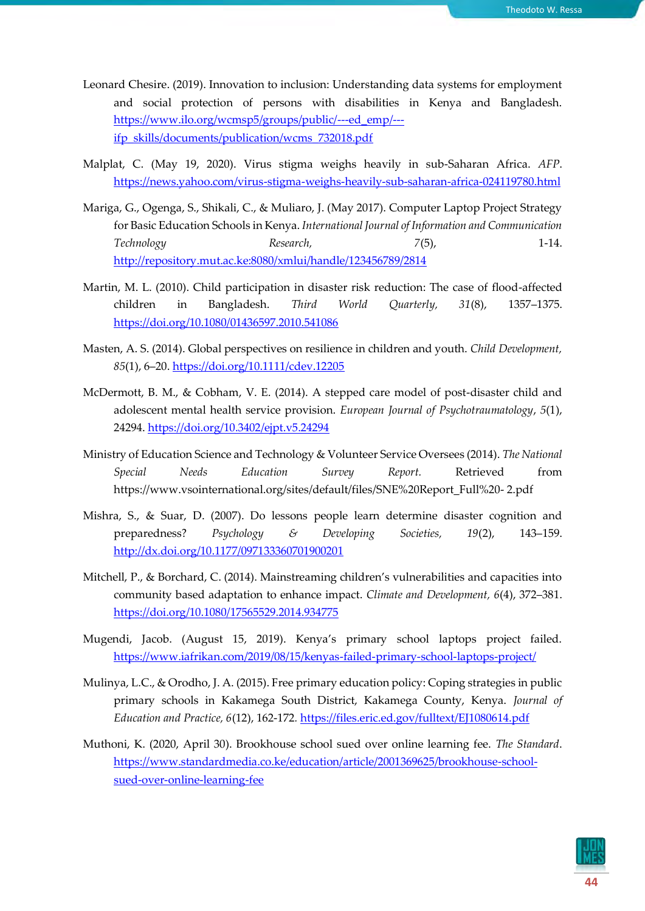- Leonard Chesire. (2019). Innovation to inclusion: Understanding data systems for employment and social protection of persons with disabilities in Kenya and Bangladesh. [https://www.ilo.org/wcmsp5/groups/public/---ed\\_emp/--](https://www.ilo.org/wcmsp5/groups/public/---ed_emp/---ifp_skills/documents/publication/wcms_732018.pdf) [ifp\\_skills/documents/publication/wcms\\_732018.pdf](https://www.ilo.org/wcmsp5/groups/public/---ed_emp/---ifp_skills/documents/publication/wcms_732018.pdf)
- Malplat, C. (May 19, 2020). Virus stigma weighs heavily in sub-Saharan Africa. *AFP*. <https://news.yahoo.com/virus-stigma-weighs-heavily-sub-saharan-africa-024119780.html>
- Mariga, G., Ogenga, S., Shikali, C., & Muliaro, J. (May 2017). Computer Laptop Project Strategy for Basic Education Schools in Kenya. *International Journal of Information and Communication Technology Research, 7*(5), 1-14. <http://repository.mut.ac.ke:8080/xmlui/handle/123456789/2814>
- Martin, M. L. (2010). Child participation in disaster risk reduction: The case of flood-affected children in Bangladesh. *Third World Quarterly, 31*(8), 1357–1375. <https://doi.org/10.1080/01436597.2010.541086>
- Masten, A. S. (2014). Global perspectives on resilience in children and youth. *Child Development, 85*(1), 6–20.<https://doi.org/10.1111/cdev.12205>
- McDermott, B. M., & Cobham, V. E. (2014). A stepped care model of post-disaster child and adolescent mental health service provision. *European Journal of Psychotraumatology*, *5*(1), 24294[. https://doi.org/10.3402/ejpt.v5.24294](https://doi.org/10.3402/ejpt.v5.24294)
- Ministry of Education Science and Technology & Volunteer Service Oversees (2014). *The National Special Needs Education Survey Report.* Retrieved from https://www.vsointernational.org/sites/default/files/SNE%20Report\_Full%20- 2.pdf
- Mishra, S., & Suar, D. (2007). Do lessons people learn determine disaster cognition and preparedness? *Psychology & Developing Societies, 19*(2), 143–159. <http://dx.doi.org/10.1177/097133360701900201>
- Mitchell, P., & Borchard, C. (2014). Mainstreaming children's vulnerabilities and capacities into community based adaptation to enhance impact. *Climate and Development, 6*(4), 372–381. <https://doi.org/10.1080/17565529.2014.934775>
- Mugendi, Jacob. (August 15, 2019). Kenya's primary school laptops project failed. <https://www.iafrikan.com/2019/08/15/kenyas-failed-primary-school-laptops-project/>
- Mulinya, L.C., & Orodho, J. A. (2015). Free primary education policy: Coping strategies in public primary schools in Kakamega South District, Kakamega County, Kenya. *Journal of Education and Practice, 6*(12), 162-172*.* <https://files.eric.ed.gov/fulltext/EJ1080614.pdf>
- Muthoni, K. (2020, April 30). Brookhouse school sued over online learning fee. *The Standard*. [https://www.standardmedia.co.ke/education/article/2001369625/brookhouse-school](https://www.standardmedia.co.ke/education/article/2001369625/brookhouse-school-sued-over-online-learning-fee)[sued-over-online-learning-fee](https://www.standardmedia.co.ke/education/article/2001369625/brookhouse-school-sued-over-online-learning-fee)

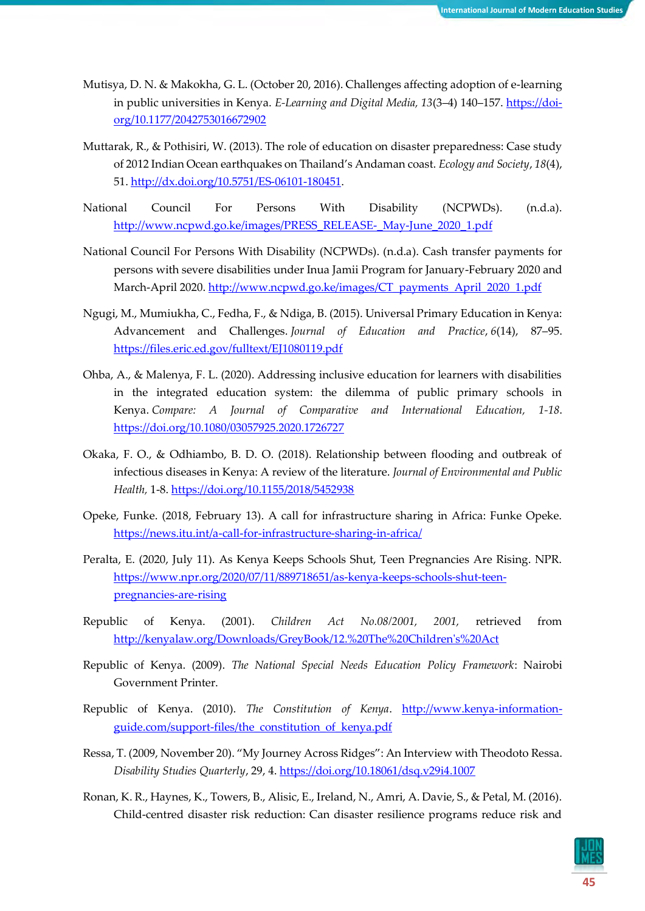- Mutisya, D. N. & Makokha, G. L. (October 20, 2016). Challenges affecting adoption of e-learning in public universities in Kenya. *E-Learning and Digital Media, 13*(3–4) 140–157. [https://doi](https://doi-org/10.1177/2042753016672902)[org/10.1177/2042753016672902](https://doi-org/10.1177/2042753016672902)
- Muttarak, R., & Pothisiri, W. (2013). The role of education on disaster preparedness: Case study of 2012 Indian Ocean earthquakes on Thailand's Andaman coast. *Ecology and Society*, *18*(4), 51[. http://dx.doi.org/10.5751/ES-06101-180451.](http://dx.doi.org/10.5751/ES-06101-180451)
- National Council For Persons With Disability (NCPWDs). (n.d.a). [http://www.ncpwd.go.ke/images/PRESS\\_RELEASE-\\_May-June\\_2020\\_1.pdf](http://www.ncpwd.go.ke/images/PRESS_RELEASE-_May-June_2020_1.pdf)
- National Council For Persons With Disability (NCPWDs). (n.d.a). Cash transfer payments for persons with severe disabilities under Inua Jamii Program for January-February 2020 and March-April 2020. [http://www.ncpwd.go.ke/images/CT\\_payments\\_April\\_2020\\_1.pdf](http://www.ncpwd.go.ke/images/CT_payments_April_2020_1.pdf)
- Ngugi, M., Mumiukha, C., Fedha, F., & Ndiga, B. (2015). Universal Primary Education in Kenya: Advancement and Challenges. *Journal of Education and Practice*, *6*(14), 87–95. <https://files.eric.ed.gov/fulltext/EJ1080119.pdf>
- Ohba, A., & Malenya, F. L. (2020). Addressing inclusive education for learners with disabilities in the integrated education system: the dilemma of public primary schools in Kenya. *Compare: A Journal of Comparative and International Education, 1-18*. <https://doi.org/10.1080/03057925.2020.1726727>
- Okaka, F. O., & Odhiambo, B. D. O. (2018). Relationship between flooding and outbreak of infectious diseases in Kenya: A review of the literature. *Journal of Environmental and Public Health,* 1-8.<https://doi.org/10.1155/2018/5452938>
- Opeke, Funke. (2018, February 13). A call for infrastructure sharing in Africa: Funke Opeke. <https://news.itu.int/a-call-for-infrastructure-sharing-in-africa/>
- Peralta, E. (2020, July 11). As Kenya Keeps Schools Shut, Teen Pregnancies Are Rising. NPR. [https://www.npr.org/2020/07/11/889718651/as-kenya-keeps-schools-shut-teen](https://www.npr.org/2020/07/11/889718651/as-kenya-keeps-schools-shut-teen-pregnancies-are-rising)[pregnancies-are-rising](https://www.npr.org/2020/07/11/889718651/as-kenya-keeps-schools-shut-teen-pregnancies-are-rising)
- Republic of Kenya. (2001). *Children Act No.08/2001, 2001,* retrieved from [http://kenyalaw.org/Downloads/GreyBook/12.%20The%20Children's%20Act](http://kenyalaw.org/Downloads/GreyBook/12.%20The%20Children)
- Republic of Kenya. (2009). *The National Special Needs Education Policy Framework*: Nairobi Government Printer.
- Republic of Kenya. (2010). *The Constitution of Kenya*. *[http://www.kenya-information](http://www.kenya-information-guide.com/support-files/the_constitution_of_kenya.pdf)*[guide.com/support-files/the\\_constitution\\_of\\_kenya.pdf](http://www.kenya-information-guide.com/support-files/the_constitution_of_kenya.pdf)
- Ressa, T. (2009, November 20). "My Journey Across Ridges": An Interview with Theodoto Ressa. *Disability Studies Quarterly*, 29, 4.<https://doi.org/10.18061/dsq.v29i4.1007>
- Ronan, K. R., Haynes, K., Towers, B., Alisic, E., Ireland, N., Amri, A. Davie, S., & Petal, M. (2016). Child-centred disaster risk reduction: Can disaster resilience programs reduce risk and

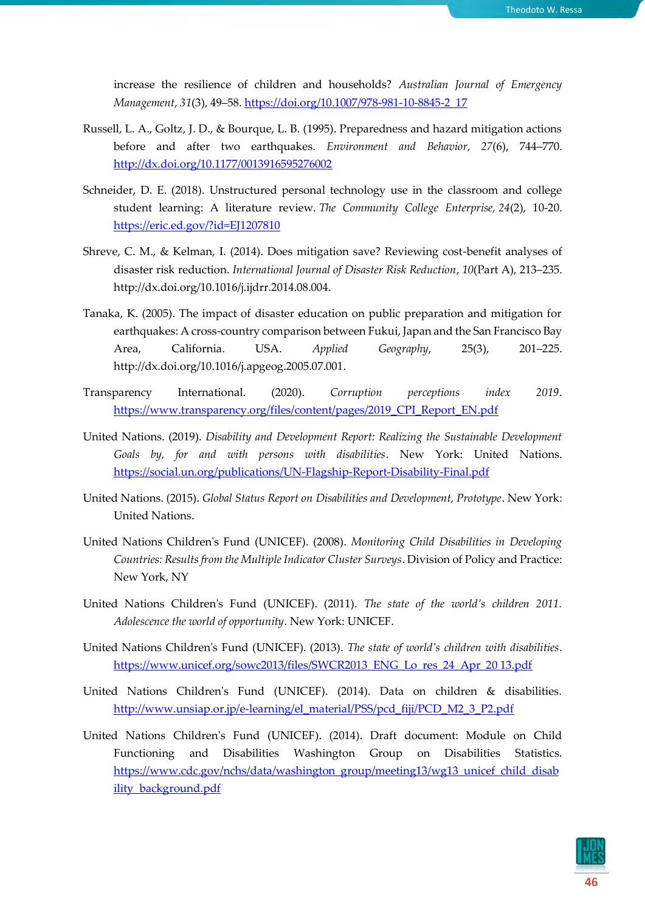increase the resilience of children and households? *Australian Journal of Emergency Management*, *31*(3), 49–58[. https://doi.org/10.1007/978-981-10-8845-2\\_17](https://doi.org/10.1007/978-981-10-8845-2_17)

- Russell, L. A., Goltz, J. D., & Bourque, L. B. (1995). Preparedness and hazard mitigation actions before and after two earthquakes. *Environment and Behavior, 27*(6), 744–770. <http://dx.doi.org/10.1177/0013916595276002>
- Schneider, D. E. (2018). Unstructured personal technology use in the classroom and college student learning: A literature review. *The Community College Enterprise, 24*(2), 10-20. <https://eric.ed.gov/?id=EJ1207810>
- Shreve, C. M., & Kelman, I. (2014). Does mitigation save? Reviewing cost-benefit analyses of disaster risk reduction. *International Journal of Disaster Risk Reduction*, *10*(Part A), 213–235. http://dx.doi.org/10.1016/j.ijdrr.2014.08.004.
- Tanaka, K. (2005). The impact of disaster education on public preparation and mitigation for earthquakes: A cross-country comparison between Fukui, Japan and the San Francisco Bay Area, California. USA. *Applied Geography*, 25(3), 201–225. http://dx.doi.org/10.1016/j.apgeog.2005.07.001.
- Transparency International. (2020). *Corruption perceptions index 2019*. [https://www.transparency.org/files/content/pages/2019\\_CPI\\_Report\\_EN.pdf](https://www.transparency.org/files/content/pages/2019_CPI_Report_EN.pdf)
- United Nations. (2019). *Disability and Development Report: Realizing the Sustainable Development Goals by, for and with persons with disabilities*. New York: United Nations. <https://social.un.org/publications/UN-Flagship-Report-Disability-Final.pdf>
- United Nations. (2015). *Global Status Report on Disabilities and Development, Prototype*. New York: United Nations.
- United Nations Children's Fund (UNICEF). (2008). *Monitoring Child Disabilities in Developing Countries: Results from the Multiple Indicator Cluster Surveys*. Division of Policy and Practice: New York, NY
- United Nations Children's Fund (UNICEF). (2011). *The state of the world's children 2011. Adolescence the world of opportunity*. New York: UNICEF.
- United Nations Children's Fund (UNICEF). (2013). *The state of world's children with disabilities*. [https://www.unicef.org/sowc2013/files/SWCR2013\\_ENG\\_Lo\\_res\\_24\\_Apr\\_20 13.pdf](https://www.unicef.org/sowc2013/files/SWCR2013_ENG_Lo_res_24_Apr_20%2013.pdf)
- United Nations Children's Fund (UNICEF). (2014). Data on children & disabilities. [http://www.unsiap.or.jp/e-learning/el\\_material/PSS/pcd\\_fiji/PCD\\_M2\\_3\\_P2.pdf](http://www.unsiap.or.jp/e-learning/el_material/PSS/pcd_fiji/PCD_M2_3_P2.pdf)
- United Nations Children's Fund (UNICEF). (2014). Draft document: Module on Child Functioning and Disabilities Washington Group on Disabilities Statistics. [https://www.cdc.gov/nchs/data/washington\\_group/meeting13/wg13\\_unicef\\_child\\_disab](https://www.cdc.gov/nchs/data/washington_group/meeting13/wg13_unicef_child_disability_background.pdf) [ility\\_background.pdf](https://www.cdc.gov/nchs/data/washington_group/meeting13/wg13_unicef_child_disability_background.pdf)

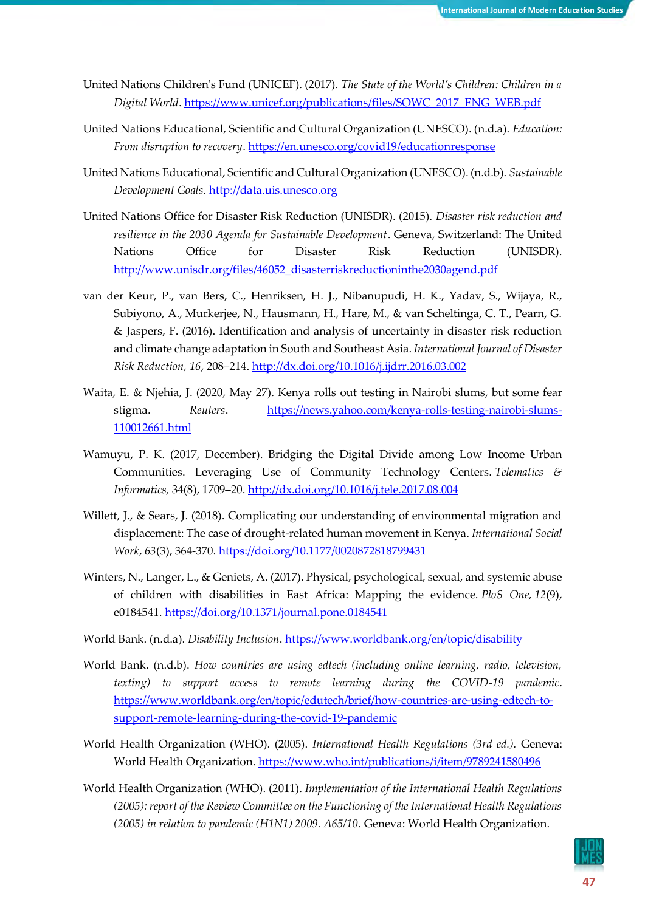- United Nations Children's Fund (UNICEF). (2017). *The State of the World's Children: Children in a Digital World*. [https://www.unicef.org/publications/files/SOWC\\_2017\\_ENG\\_WEB.pdf](https://www.unicef.org/publications/files/SOWC_2017_ENG_WEB.pdf)
- United Nations Educational, Scientific and Cultural Organization (UNESCO). (n.d.a). *Education: From disruption to recovery*.<https://en.unesco.org/covid19/educationresponse>
- United Nations Educational, Scientific and Cultural Organization (UNESCO). (n.d.b). *Sustainable Development Goals*[. http://data.uis.unesco.org](http://data.uis.unesco.org/)
- United Nations Office for Disaster Risk Reduction (UNISDR). (2015). *Disaster risk reduction and resilience in the 2030 Agenda for Sustainable Development*. Geneva, Switzerland: The United Nations Office for Disaster Risk Reduction (UNISDR). [http://www.unisdr.org/files/46052\\_disasterriskreductioninthe2030agend.pdf](http://www.unisdr.org/files/46052_disasterriskreductioninthe2030agend.pdf)
- van der Keur, P., van Bers, C., Henriksen, H. J., Nibanupudi, H. K., Yadav, S., Wijaya, R., Subiyono, A., Murkerjee, N., Hausmann, H., Hare, M., & van Scheltinga, C. T., Pearn, G. & Jaspers, F. (2016). Identification and analysis of uncertainty in disaster risk reduction and climate change adaptation in South and Southeast Asia. *International Journal of Disaster Risk Reduction, 16*, 208–214[. http://dx.doi.org/10.1016/j.ijdrr.2016.03.002](http://dx.doi.org/10.1016/j.ijdrr.2016.03.002)
- Waita, E. & Njehia, J. (2020, May 27). Kenya rolls out testing in Nairobi slums, but some fear stigma. *Reuters*. [https://news.yahoo.com/kenya-rolls-testing-nairobi-slums-](https://news.yahoo.com/kenya-rolls-testing-nairobi-slums-110012661.html)[110012661.html](https://news.yahoo.com/kenya-rolls-testing-nairobi-slums-110012661.html)
- Wamuyu, P. K. (2017, December). Bridging the Digital Divide among Low Income Urban Communities. Leveraging Use of Community Technology Centers. *Telematics & Informatics,* 34(8), 1709–20[. http://dx.doi.org/10.1016/j.tele.2017.08.004](http://dx.doi.org/10.1016/j.tele.2017.08.004)
- Willett, J., & Sears, J. (2018). Complicating our understanding of environmental migration and displacement: The case of drought-related human movement in Kenya. *International Social Work*, *63*(3), 364-370[. https://doi.org/10.1177/0020872818799431](https://doi.org/10.1177/0020872818799431)
- Winters, N., Langer, L., & Geniets, A. (2017). Physical, psychological, sexual, and systemic abuse of children with disabilities in East Africa: Mapping the evidence. *PloS One, 12*(9), e0184541.<https://doi.org/10.1371/journal.pone.0184541>
- World Bank. (n.d.a). *Disability Inclusion*.<https://www.worldbank.org/en/topic/disability>
- World Bank. (n.d.b). *How countries are using edtech (including online learning, radio, television, texting) to support access to remote learning during the COVID-19 pandemic*. [https://www.worldbank.org/en/topic/edutech/brief/how-countries-are-using-edtech-to](https://www.worldbank.org/en/topic/edutech/brief/how-countries-are-using-edtech-to-support-remote-learning-during-the-covid-19-pandemic)[support-remote-learning-during-the-covid-19-pandemic](https://www.worldbank.org/en/topic/edutech/brief/how-countries-are-using-edtech-to-support-remote-learning-during-the-covid-19-pandemic)
- World Health Organization (WHO). (2005). *International Health Regulations (3rd ed.).* Geneva: World Health Organization. https://www.who.int/publications/i/item/9789241580496
- World Health Organization (WHO). (2011). *Implementation of the International Health Regulations (2005): report of the Review Committee on the Functioning of the International Health Regulations (2005) in relation to pandemic (H1N1) 2009. A65/10*. Geneva: World Health Organization.